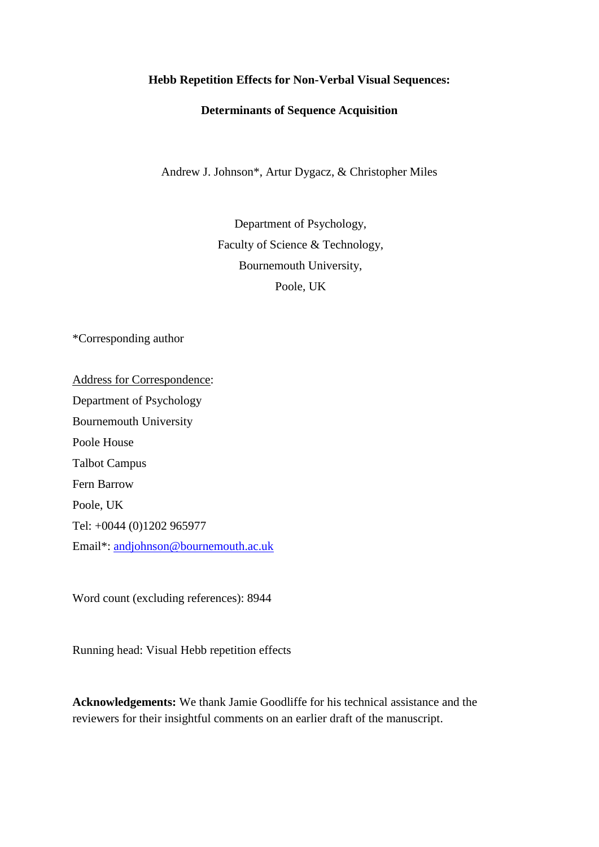## **Hebb Repetition Effects for Non-Verbal Visual Sequences:**

## **Determinants of Sequence Acquisition**

Andrew J. Johnson\*, Artur Dygacz, & Christopher Miles

Department of Psychology, Faculty of Science & Technology, Bournemouth University, Poole, UK

\*Corresponding author

Address for Correspondence: Department of Psychology Bournemouth University Poole House Talbot Campus Fern Barrow Poole, UK Tel: +0044 (0)1202 965977 Email\*: [andjohnson@bournemouth.ac.uk](mailto:andjohnson@bournemouth.ac.uk)

Word count (excluding references): 8944

Running head: Visual Hebb repetition effects

**Acknowledgements:** We thank Jamie Goodliffe for his technical assistance and the reviewers for their insightful comments on an earlier draft of the manuscript.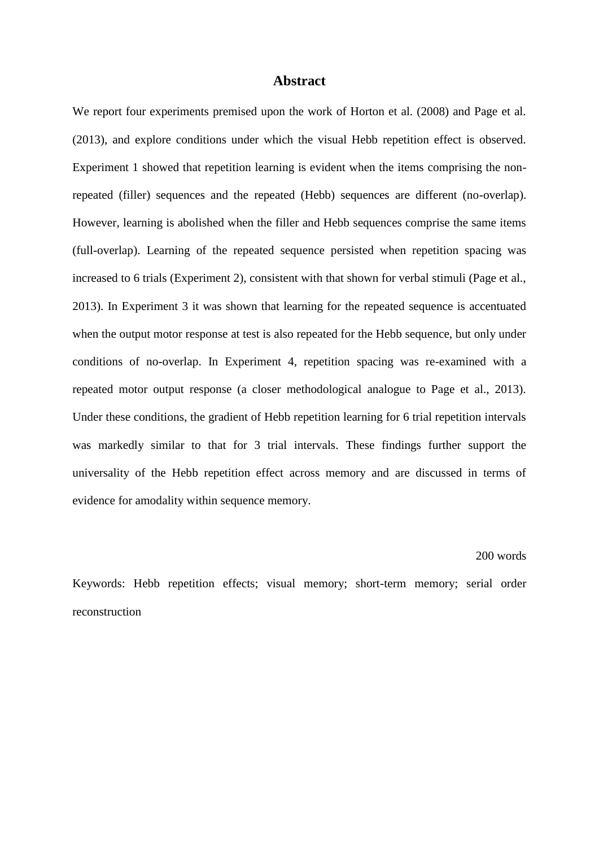#### **Abstract**

We report four experiments premised upon the work of Horton et al. (2008) and Page et al. (2013), and explore conditions under which the visual Hebb repetition effect is observed. Experiment 1 showed that repetition learning is evident when the items comprising the nonrepeated (filler) sequences and the repeated (Hebb) sequences are different (no-overlap). However, learning is abolished when the filler and Hebb sequences comprise the same items (full-overlap). Learning of the repeated sequence persisted when repetition spacing was increased to 6 trials (Experiment 2), consistent with that shown for verbal stimuli (Page et al., 2013). In Experiment 3 it was shown that learning for the repeated sequence is accentuated when the output motor response at test is also repeated for the Hebb sequence, but only under conditions of no-overlap. In Experiment 4, repetition spacing was re-examined with a repeated motor output response (a closer methodological analogue to Page et al., 2013). Under these conditions, the gradient of Hebb repetition learning for 6 trial repetition intervals was markedly similar to that for 3 trial intervals. These findings further support the universality of the Hebb repetition effect across memory and are discussed in terms of evidence for amodality within sequence memory.

#### 200 words

Keywords: Hebb repetition effects; visual memory; short-term memory; serial order reconstruction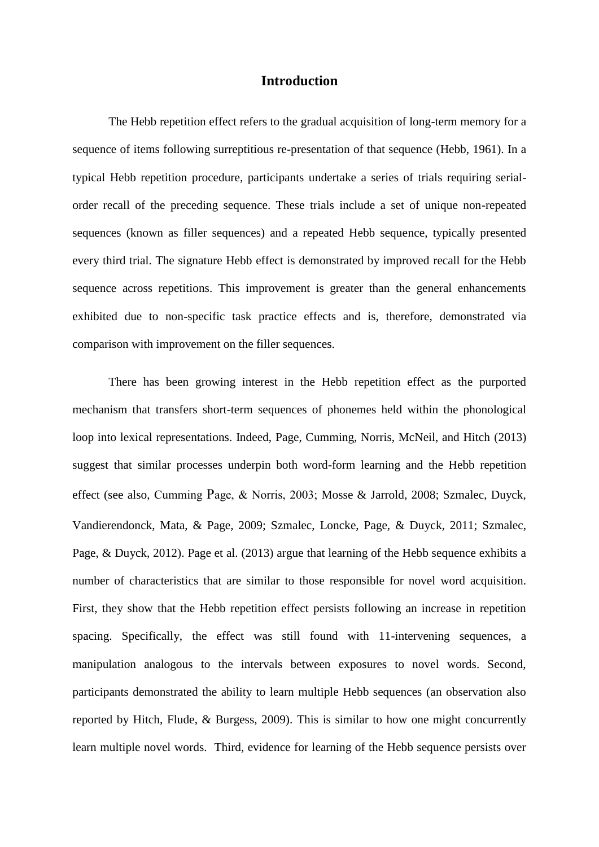## **Introduction**

The Hebb repetition effect refers to the gradual acquisition of long-term memory for a sequence of items following surreptitious re-presentation of that sequence (Hebb, 1961). In a typical Hebb repetition procedure, participants undertake a series of trials requiring serialorder recall of the preceding sequence. These trials include a set of unique non-repeated sequences (known as filler sequences) and a repeated Hebb sequence, typically presented every third trial. The signature Hebb effect is demonstrated by improved recall for the Hebb sequence across repetitions. This improvement is greater than the general enhancements exhibited due to non-specific task practice effects and is, therefore, demonstrated via comparison with improvement on the filler sequences.

There has been growing interest in the Hebb repetition effect as the purported mechanism that transfers short-term sequences of phonemes held within the phonological loop into lexical representations. Indeed, Page, Cumming, Norris, McNeil, and Hitch (2013) suggest that similar processes underpin both word-form learning and the Hebb repetition effect (see also, Cumming Page, & Norris, 2003; Mosse & Jarrold, 2008; Szmalec, Duyck, Vandierendonck, Mata, & Page, 2009; Szmalec, Loncke, Page, & Duyck, 2011; Szmalec, Page, & Duyck, 2012). Page et al. (2013) argue that learning of the Hebb sequence exhibits a number of characteristics that are similar to those responsible for novel word acquisition. First, they show that the Hebb repetition effect persists following an increase in repetition spacing. Specifically, the effect was still found with 11-intervening sequences, a manipulation analogous to the intervals between exposures to novel words. Second, participants demonstrated the ability to learn multiple Hebb sequences (an observation also reported by Hitch, Flude, & Burgess, 2009). This is similar to how one might concurrently learn multiple novel words. Third, evidence for learning of the Hebb sequence persists over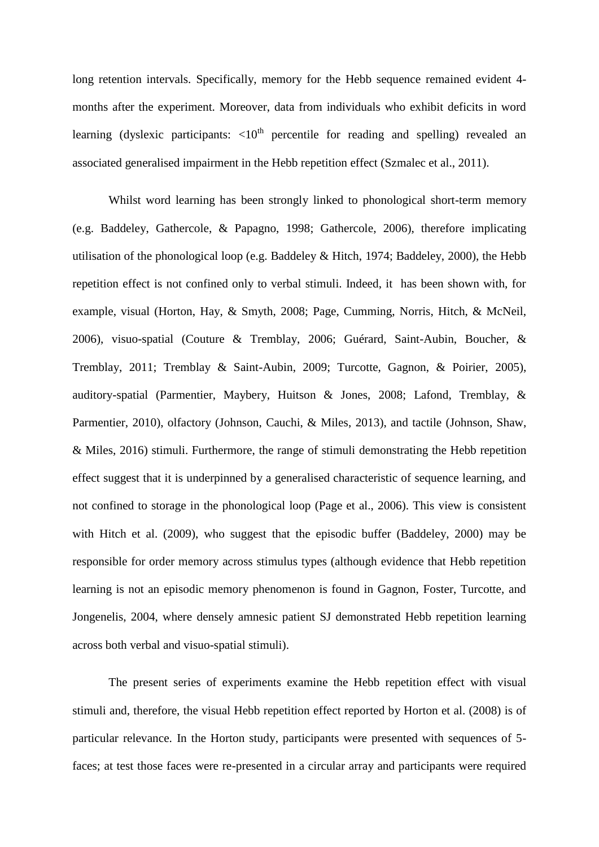long retention intervals. Specifically, memory for the Hebb sequence remained evident 4 months after the experiment. Moreover, data from individuals who exhibit deficits in word learning (dyslexic participants:  $\langle 10^{th}$  percentile for reading and spelling) revealed an associated generalised impairment in the Hebb repetition effect (Szmalec et al., 2011).

Whilst word learning has been strongly linked to phonological short-term memory (e.g. Baddeley, Gathercole, & Papagno, 1998; Gathercole, 2006), therefore implicating utilisation of the phonological loop (e.g. Baddeley & Hitch, 1974; Baddeley, 2000), the Hebb repetition effect is not confined only to verbal stimuli. Indeed, it has been shown with, for example, visual (Horton, Hay, & Smyth, 2008; Page, Cumming, Norris, Hitch, & McNeil, 2006), visuo-spatial (Couture & Tremblay, 2006; Guérard, Saint-Aubin, Boucher, & Tremblay, 2011; Tremblay & Saint-Aubin, 2009; Turcotte, Gagnon, & Poirier, 2005), auditory-spatial (Parmentier, Maybery, Huitson & Jones, 2008; Lafond, Tremblay, & Parmentier, 2010), olfactory (Johnson, Cauchi, & Miles, 2013), and tactile (Johnson, Shaw, & Miles, 2016) stimuli. Furthermore, the range of stimuli demonstrating the Hebb repetition effect suggest that it is underpinned by a generalised characteristic of sequence learning, and not confined to storage in the phonological loop (Page et al., 2006). This view is consistent with Hitch et al. (2009), who suggest that the episodic buffer (Baddeley, 2000) may be responsible for order memory across stimulus types (although evidence that Hebb repetition learning is not an episodic memory phenomenon is found in Gagnon, Foster, Turcotte, and Jongenelis, 2004, where densely amnesic patient SJ demonstrated Hebb repetition learning across both verbal and visuo-spatial stimuli).

The present series of experiments examine the Hebb repetition effect with visual stimuli and, therefore, the visual Hebb repetition effect reported by Horton et al. (2008) is of particular relevance. In the Horton study, participants were presented with sequences of 5 faces; at test those faces were re-presented in a circular array and participants were required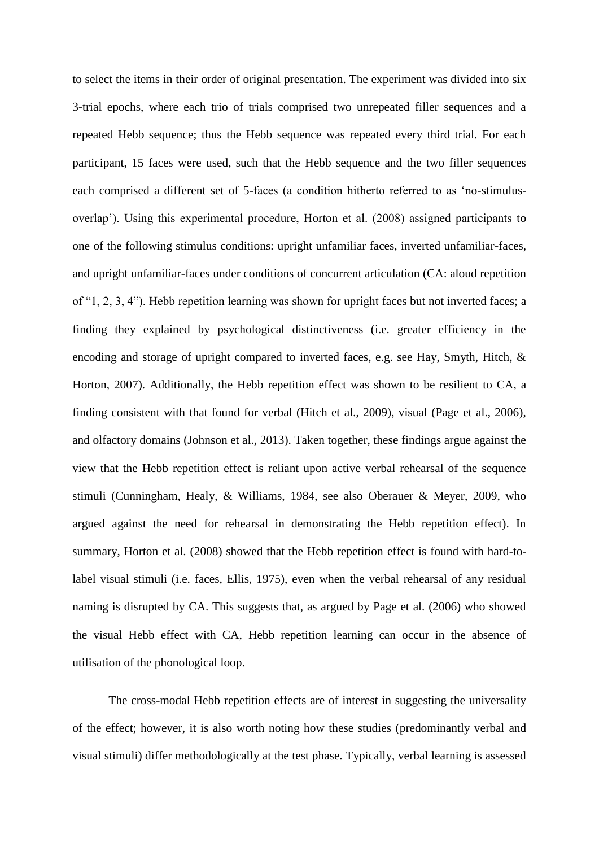to select the items in their order of original presentation. The experiment was divided into six 3-trial epochs, where each trio of trials comprised two unrepeated filler sequences and a repeated Hebb sequence; thus the Hebb sequence was repeated every third trial. For each participant, 15 faces were used, such that the Hebb sequence and the two filler sequences each comprised a different set of 5-faces (a condition hitherto referred to as 'no-stimulusoverlap'). Using this experimental procedure, Horton et al. (2008) assigned participants to one of the following stimulus conditions: upright unfamiliar faces, inverted unfamiliar-faces, and upright unfamiliar-faces under conditions of concurrent articulation (CA: aloud repetition of "1, 2, 3, 4"). Hebb repetition learning was shown for upright faces but not inverted faces; a finding they explained by psychological distinctiveness (i.e. greater efficiency in the encoding and storage of upright compared to inverted faces, e.g. see Hay, Smyth, Hitch, & Horton, 2007). Additionally, the Hebb repetition effect was shown to be resilient to CA, a finding consistent with that found for verbal (Hitch et al., 2009), visual (Page et al., 2006), and olfactory domains (Johnson et al., 2013). Taken together, these findings argue against the view that the Hebb repetition effect is reliant upon active verbal rehearsal of the sequence stimuli (Cunningham, Healy, & Williams, 1984, see also Oberauer & Meyer, 2009, who argued against the need for rehearsal in demonstrating the Hebb repetition effect). In summary, Horton et al. (2008) showed that the Hebb repetition effect is found with hard-tolabel visual stimuli (i.e. faces, Ellis, 1975), even when the verbal rehearsal of any residual naming is disrupted by CA. This suggests that, as argued by Page et al. (2006) who showed the visual Hebb effect with CA, Hebb repetition learning can occur in the absence of utilisation of the phonological loop.

The cross-modal Hebb repetition effects are of interest in suggesting the universality of the effect; however, it is also worth noting how these studies (predominantly verbal and visual stimuli) differ methodologically at the test phase. Typically, verbal learning is assessed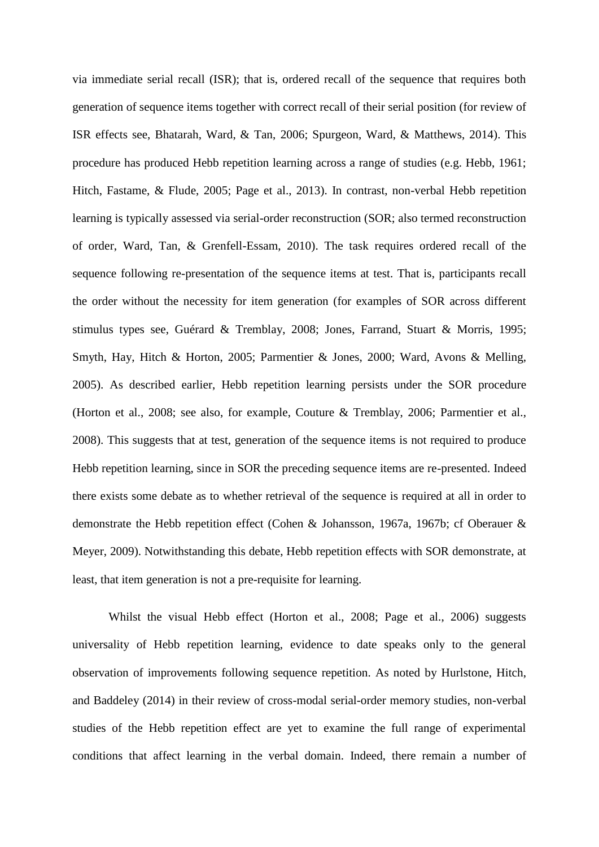via immediate serial recall (ISR); that is, ordered recall of the sequence that requires both generation of sequence items together with correct recall of their serial position (for review of ISR effects see, Bhatarah, Ward, & Tan, 2006; Spurgeon, Ward, & Matthews, 2014). This procedure has produced Hebb repetition learning across a range of studies (e.g. Hebb, 1961; Hitch, Fastame, & Flude, 2005; Page et al., 2013). In contrast, non-verbal Hebb repetition learning is typically assessed via serial-order reconstruction (SOR; also termed reconstruction of order, Ward, Tan, & Grenfell-Essam, 2010). The task requires ordered recall of the sequence following re-presentation of the sequence items at test. That is, participants recall the order without the necessity for item generation (for examples of SOR across different stimulus types see, Guérard & Tremblay, 2008; Jones, Farrand, Stuart & Morris, 1995; Smyth, Hay, Hitch & Horton, 2005; Parmentier & Jones, 2000; Ward, Avons & Melling, 2005). As described earlier, Hebb repetition learning persists under the SOR procedure (Horton et al., 2008; see also, for example, Couture & Tremblay, 2006; Parmentier et al., 2008). This suggests that at test, generation of the sequence items is not required to produce Hebb repetition learning, since in SOR the preceding sequence items are re-presented. Indeed there exists some debate as to whether retrieval of the sequence is required at all in order to demonstrate the Hebb repetition effect (Cohen & Johansson, 1967a, 1967b; cf Oberauer & Meyer, 2009). Notwithstanding this debate, Hebb repetition effects with SOR demonstrate, at least, that item generation is not a pre-requisite for learning.

Whilst the visual Hebb effect (Horton et al., 2008; Page et al., 2006) suggests universality of Hebb repetition learning, evidence to date speaks only to the general observation of improvements following sequence repetition. As noted by Hurlstone, Hitch, and Baddeley (2014) in their review of cross-modal serial-order memory studies, non-verbal studies of the Hebb repetition effect are yet to examine the full range of experimental conditions that affect learning in the verbal domain. Indeed, there remain a number of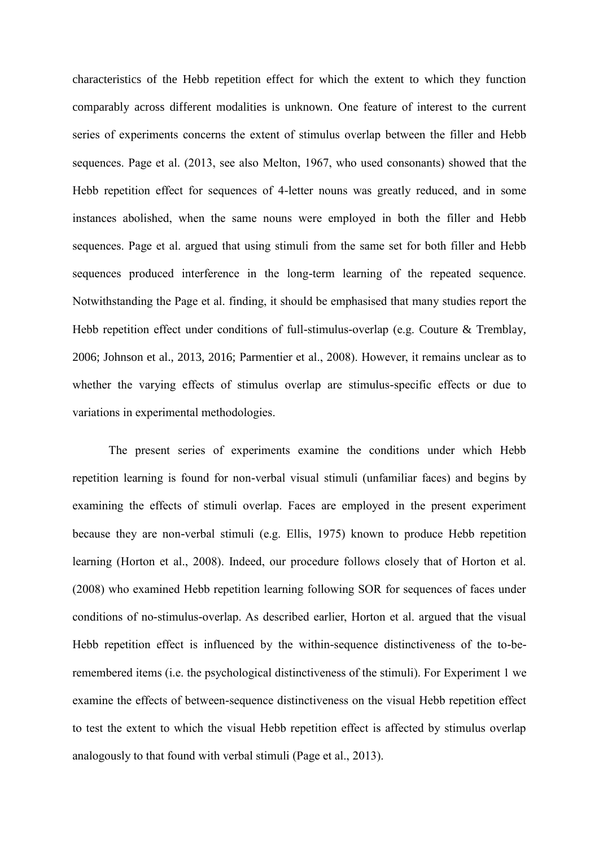characteristics of the Hebb repetition effect for which the extent to which they function comparably across different modalities is unknown. One feature of interest to the current series of experiments concerns the extent of stimulus overlap between the filler and Hebb sequences. Page et al. (2013, see also Melton, 1967, who used consonants) showed that the Hebb repetition effect for sequences of 4-letter nouns was greatly reduced, and in some instances abolished, when the same nouns were employed in both the filler and Hebb sequences. Page et al. argued that using stimuli from the same set for both filler and Hebb sequences produced interference in the long-term learning of the repeated sequence. Notwithstanding the Page et al. finding, it should be emphasised that many studies report the Hebb repetition effect under conditions of full-stimulus-overlap (e.g. Couture & Tremblay, 2006; Johnson et al., 2013, 2016; Parmentier et al., 2008). However, it remains unclear as to whether the varying effects of stimulus overlap are stimulus-specific effects or due to variations in experimental methodologies.

The present series of experiments examine the conditions under which Hebb repetition learning is found for non-verbal visual stimuli (unfamiliar faces) and begins by examining the effects of stimuli overlap. Faces are employed in the present experiment because they are non-verbal stimuli (e.g. Ellis, 1975) known to produce Hebb repetition learning (Horton et al., 2008). Indeed, our procedure follows closely that of Horton et al. (2008) who examined Hebb repetition learning following SOR for sequences of faces under conditions of no-stimulus-overlap. As described earlier, Horton et al. argued that the visual Hebb repetition effect is influenced by the within-sequence distinctiveness of the to-beremembered items (i.e. the psychological distinctiveness of the stimuli). For Experiment 1 we examine the effects of between-sequence distinctiveness on the visual Hebb repetition effect to test the extent to which the visual Hebb repetition effect is affected by stimulus overlap analogously to that found with verbal stimuli (Page et al., 2013).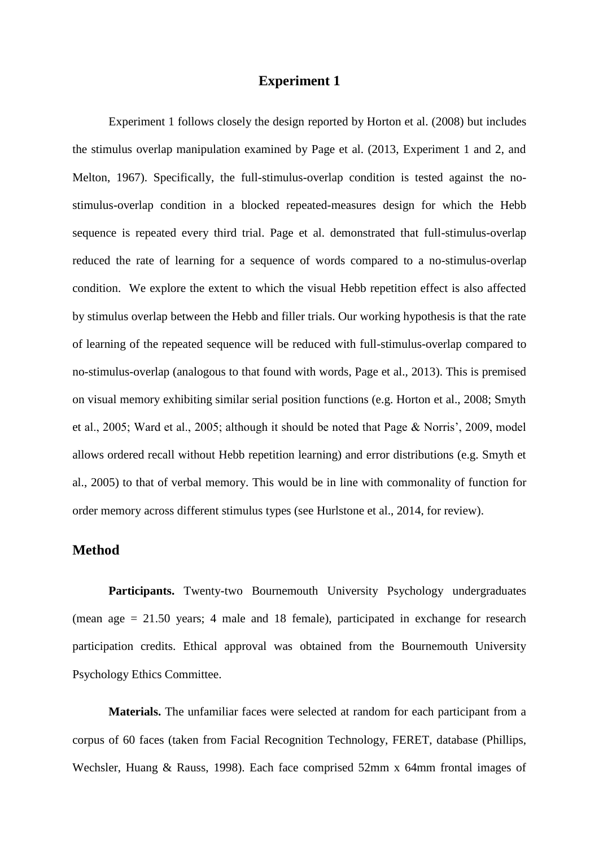## **Experiment 1**

Experiment 1 follows closely the design reported by Horton et al. (2008) but includes the stimulus overlap manipulation examined by Page et al. (2013, Experiment 1 and 2, and Melton, 1967). Specifically, the full-stimulus-overlap condition is tested against the nostimulus-overlap condition in a blocked repeated-measures design for which the Hebb sequence is repeated every third trial. Page et al. demonstrated that full-stimulus-overlap reduced the rate of learning for a sequence of words compared to a no-stimulus-overlap condition. We explore the extent to which the visual Hebb repetition effect is also affected by stimulus overlap between the Hebb and filler trials. Our working hypothesis is that the rate of learning of the repeated sequence will be reduced with full-stimulus-overlap compared to no-stimulus-overlap (analogous to that found with words, Page et al., 2013). This is premised on visual memory exhibiting similar serial position functions (e.g. Horton et al., 2008; Smyth et al., 2005; Ward et al., 2005; although it should be noted that Page & Norris', 2009, model allows ordered recall without Hebb repetition learning) and error distributions (e.g. Smyth et al., 2005) to that of verbal memory. This would be in line with commonality of function for order memory across different stimulus types (see Hurlstone et al., 2014, for review).

## **Method**

Participants. Twenty-two Bournemouth University Psychology undergraduates (mean age = 21.50 years; 4 male and 18 female), participated in exchange for research participation credits. Ethical approval was obtained from the Bournemouth University Psychology Ethics Committee.

**Materials.** The unfamiliar faces were selected at random for each participant from a corpus of 60 faces (taken from Facial Recognition Technology, FERET, database (Phillips, Wechsler, Huang & Rauss, 1998). Each face comprised 52mm x 64mm frontal images of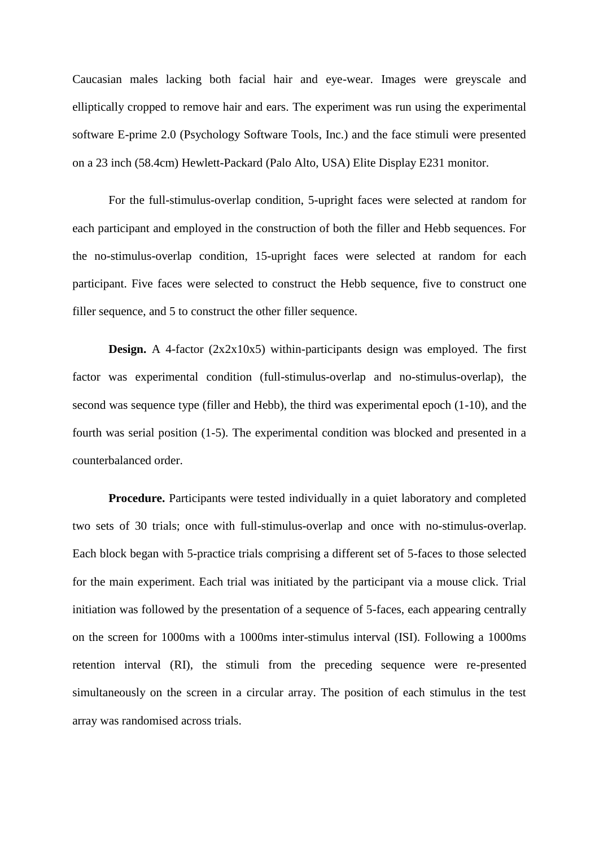Caucasian males lacking both facial hair and eye-wear. Images were greyscale and elliptically cropped to remove hair and ears. The experiment was run using the experimental software E-prime 2.0 (Psychology Software Tools, Inc.) and the face stimuli were presented on a 23 inch (58.4cm) Hewlett-Packard (Palo Alto, USA) Elite Display E231 monitor.

For the full-stimulus-overlap condition, 5-upright faces were selected at random for each participant and employed in the construction of both the filler and Hebb sequences. For the no-stimulus-overlap condition, 15-upright faces were selected at random for each participant. Five faces were selected to construct the Hebb sequence, five to construct one filler sequence, and 5 to construct the other filler sequence.

**Design.** A 4-factor (2x2x10x5) within-participants design was employed. The first factor was experimental condition (full-stimulus-overlap and no-stimulus-overlap), the second was sequence type (filler and Hebb), the third was experimental epoch (1-10), and the fourth was serial position (1-5). The experimental condition was blocked and presented in a counterbalanced order.

**Procedure.** Participants were tested individually in a quiet laboratory and completed two sets of 30 trials; once with full-stimulus-overlap and once with no-stimulus-overlap. Each block began with 5-practice trials comprising a different set of 5-faces to those selected for the main experiment. Each trial was initiated by the participant via a mouse click. Trial initiation was followed by the presentation of a sequence of 5-faces, each appearing centrally on the screen for 1000ms with a 1000ms inter-stimulus interval (ISI). Following a 1000ms retention interval (RI), the stimuli from the preceding sequence were re-presented simultaneously on the screen in a circular array. The position of each stimulus in the test array was randomised across trials.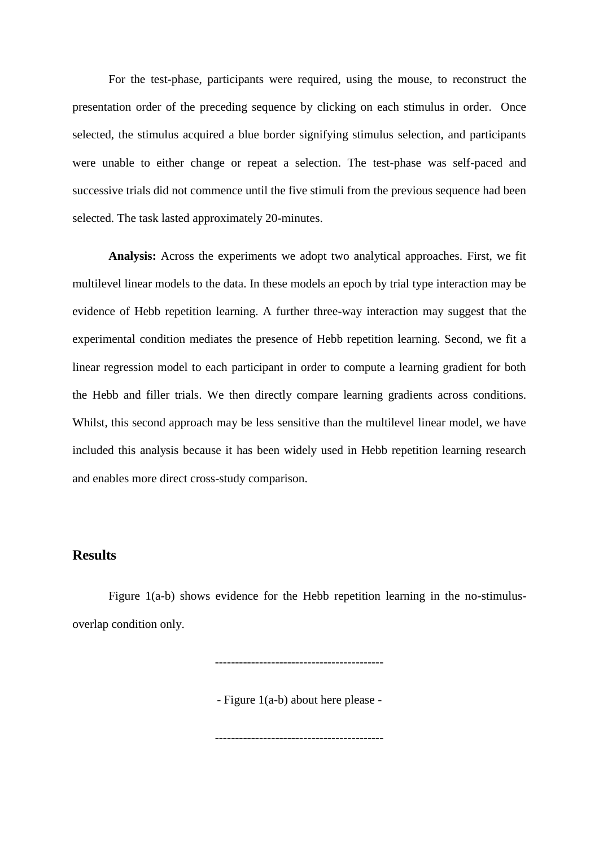For the test-phase, participants were required, using the mouse, to reconstruct the presentation order of the preceding sequence by clicking on each stimulus in order. Once selected, the stimulus acquired a blue border signifying stimulus selection, and participants were unable to either change or repeat a selection. The test-phase was self-paced and successive trials did not commence until the five stimuli from the previous sequence had been selected. The task lasted approximately 20-minutes.

**Analysis:** Across the experiments we adopt two analytical approaches. First, we fit multilevel linear models to the data. In these models an epoch by trial type interaction may be evidence of Hebb repetition learning. A further three-way interaction may suggest that the experimental condition mediates the presence of Hebb repetition learning. Second, we fit a linear regression model to each participant in order to compute a learning gradient for both the Hebb and filler trials. We then directly compare learning gradients across conditions. Whilst, this second approach may be less sensitive than the multilevel linear model, we have included this analysis because it has been widely used in Hebb repetition learning research and enables more direct cross-study comparison.

# **Results**

Figure 1(a-b) shows evidence for the Hebb repetition learning in the no-stimulusoverlap condition only.

------------------------------------------

- Figure 1(a-b) about here please -

------------------------------------------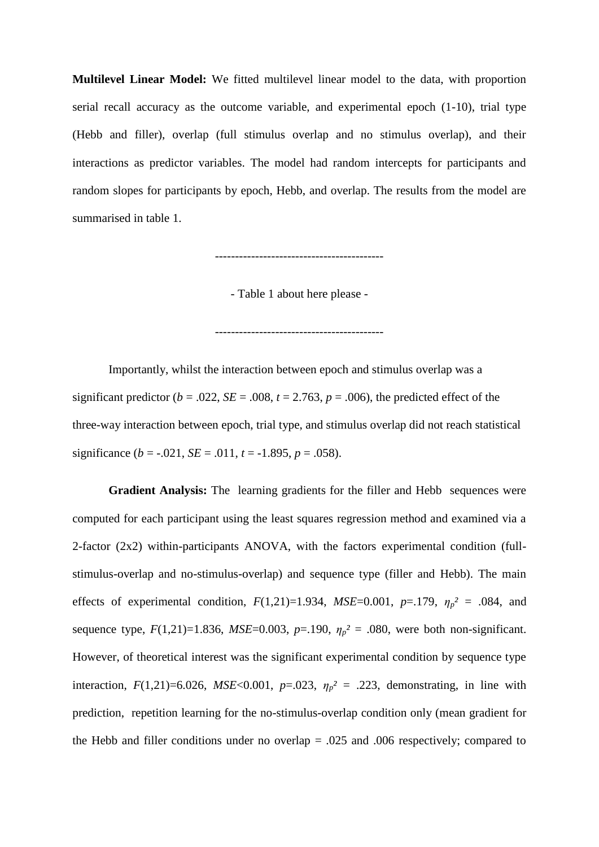**Multilevel Linear Model:** We fitted multilevel linear model to the data, with proportion serial recall accuracy as the outcome variable, and experimental epoch (1-10), trial type (Hebb and filler), overlap (full stimulus overlap and no stimulus overlap), and their interactions as predictor variables. The model had random intercepts for participants and random slopes for participants by epoch, Hebb, and overlap. The results from the model are summarised in table 1.

------------------------------------------

- Table 1 about here please -

------------------------------------------

Importantly, whilst the interaction between epoch and stimulus overlap was a significant predictor ( $b = .022$ ,  $SE = .008$ ,  $t = 2.763$ ,  $p = .006$ ), the predicted effect of the three-way interaction between epoch, trial type, and stimulus overlap did not reach statistical significance  $(b = -0.021, SE = 0.011, t = -1.895, p = 0.058)$ .

**Gradient Analysis:** The learning gradients for the filler and Hebb sequences were computed for each participant using the least squares regression method and examined via a 2-factor (2x2) within-participants ANOVA, with the factors experimental condition (fullstimulus-overlap and no-stimulus-overlap) and sequence type (filler and Hebb). The main effects of experimental condition,  $F(1,21)=1.934$ ,  $MSE=0.001$ ,  $p=.179$ ,  $\eta_p^2 = .084$ , and sequence type,  $F(1,21)=1.836$ ,  $MSE=0.003$ ,  $p=.190$ ,  $\eta_p^2=.080$ , were both non-significant. However, of theoretical interest was the significant experimental condition by sequence type interaction,  $F(1,21)=6.026$ ,  $MSE<0.001$ ,  $p=.023$ ,  $\eta_p^2=.223$ , demonstrating, in line with prediction, repetition learning for the no-stimulus-overlap condition only (mean gradient for the Hebb and filler conditions under no overlap = .025 and .006 respectively; compared to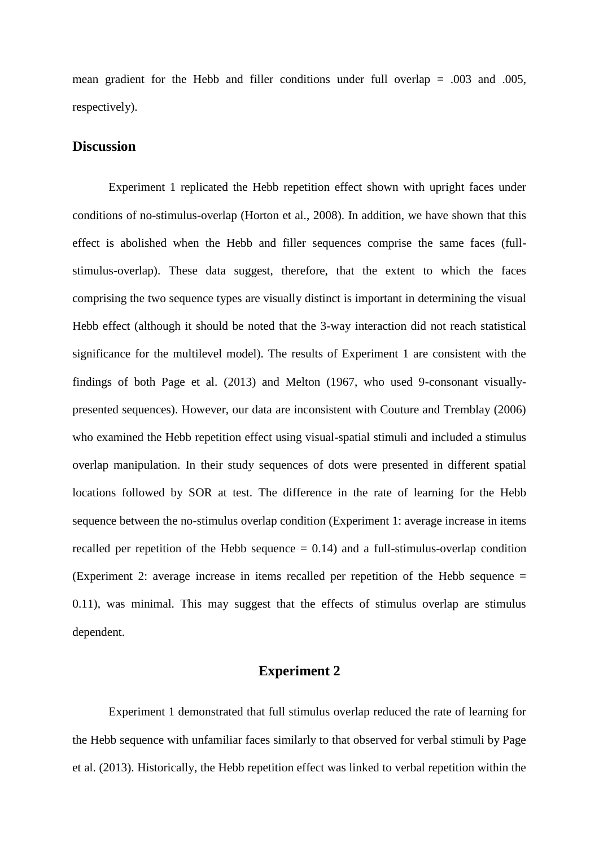mean gradient for the Hebb and filler conditions under full overlap  $= .003$  and  $.005$ , respectively).

## **Discussion**

Experiment 1 replicated the Hebb repetition effect shown with upright faces under conditions of no-stimulus-overlap (Horton et al., 2008). In addition, we have shown that this effect is abolished when the Hebb and filler sequences comprise the same faces (fullstimulus-overlap). These data suggest, therefore, that the extent to which the faces comprising the two sequence types are visually distinct is important in determining the visual Hebb effect (although it should be noted that the 3-way interaction did not reach statistical significance for the multilevel model). The results of Experiment 1 are consistent with the findings of both Page et al. (2013) and Melton (1967, who used 9-consonant visuallypresented sequences). However, our data are inconsistent with Couture and Tremblay (2006) who examined the Hebb repetition effect using visual-spatial stimuli and included a stimulus overlap manipulation. In their study sequences of dots were presented in different spatial locations followed by SOR at test. The difference in the rate of learning for the Hebb sequence between the no-stimulus overlap condition (Experiment 1: average increase in items recalled per repetition of the Hebb sequence  $= 0.14$ ) and a full-stimulus-overlap condition (Experiment 2: average increase in items recalled per repetition of the Hebb sequence = 0.11), was minimal. This may suggest that the effects of stimulus overlap are stimulus dependent.

## **Experiment 2**

Experiment 1 demonstrated that full stimulus overlap reduced the rate of learning for the Hebb sequence with unfamiliar faces similarly to that observed for verbal stimuli by Page et al. (2013). Historically, the Hebb repetition effect was linked to verbal repetition within the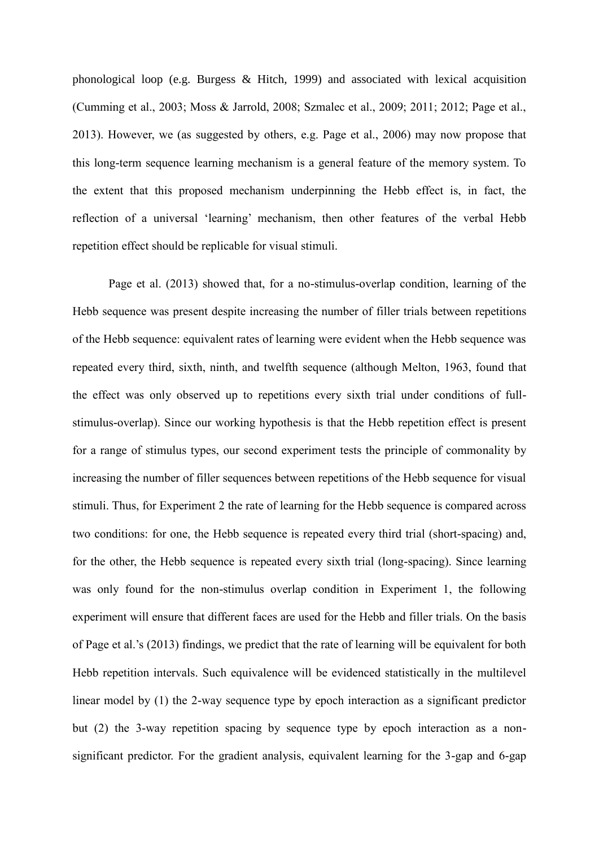phonological loop (e.g. Burgess & Hitch, 1999) and associated with lexical acquisition (Cumming et al., 2003; Moss & Jarrold, 2008; Szmalec et al., 2009; 2011; 2012; Page et al., 2013). However, we (as suggested by others, e.g. Page et al., 2006) may now propose that this long-term sequence learning mechanism is a general feature of the memory system. To the extent that this proposed mechanism underpinning the Hebb effect is, in fact, the reflection of a universal 'learning' mechanism, then other features of the verbal Hebb repetition effect should be replicable for visual stimuli.

Page et al. (2013) showed that, for a no-stimulus-overlap condition, learning of the Hebb sequence was present despite increasing the number of filler trials between repetitions of the Hebb sequence: equivalent rates of learning were evident when the Hebb sequence was repeated every third, sixth, ninth, and twelfth sequence (although Melton, 1963, found that the effect was only observed up to repetitions every sixth trial under conditions of fullstimulus-overlap). Since our working hypothesis is that the Hebb repetition effect is present for a range of stimulus types, our second experiment tests the principle of commonality by increasing the number of filler sequences between repetitions of the Hebb sequence for visual stimuli. Thus, for Experiment 2 the rate of learning for the Hebb sequence is compared across two conditions: for one, the Hebb sequence is repeated every third trial (short-spacing) and, for the other, the Hebb sequence is repeated every sixth trial (long-spacing). Since learning was only found for the non-stimulus overlap condition in Experiment 1, the following experiment will ensure that different faces are used for the Hebb and filler trials. On the basis of Page et al.'s (2013) findings, we predict that the rate of learning will be equivalent for both Hebb repetition intervals. Such equivalence will be evidenced statistically in the multilevel linear model by (1) the 2-way sequence type by epoch interaction as a significant predictor but (2) the 3-way repetition spacing by sequence type by epoch interaction as a nonsignificant predictor. For the gradient analysis, equivalent learning for the 3-gap and 6-gap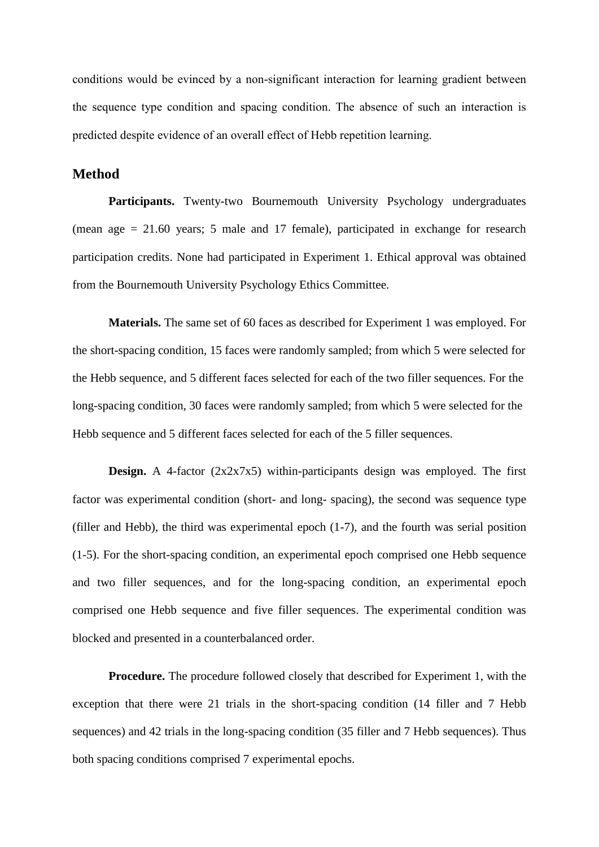conditions would be evinced by a non-significant interaction for learning gradient between the sequence type condition and spacing condition. The absence of such an interaction is predicted despite evidence of an overall effect of Hebb repetition learning.

## **Method**

Participants. Twenty-two Bournemouth University Psychology undergraduates (mean age = 21.60 years; 5 male and 17 female), participated in exchange for research participation credits. None had participated in Experiment 1. Ethical approval was obtained from the Bournemouth University Psychology Ethics Committee.

**Materials.** The same set of 60 faces as described for Experiment 1 was employed. For the short-spacing condition, 15 faces were randomly sampled; from which 5 were selected for the Hebb sequence, and 5 different faces selected for each of the two filler sequences. For the long-spacing condition, 30 faces were randomly sampled; from which 5 were selected for the Hebb sequence and 5 different faces selected for each of the 5 filler sequences.

**Design.** A 4-factor (2x2x7x5) within-participants design was employed. The first factor was experimental condition (short- and long- spacing), the second was sequence type (filler and Hebb), the third was experimental epoch (1-7), and the fourth was serial position (1-5). For the short-spacing condition, an experimental epoch comprised one Hebb sequence and two filler sequences, and for the long-spacing condition, an experimental epoch comprised one Hebb sequence and five filler sequences. The experimental condition was blocked and presented in a counterbalanced order.

**Procedure.** The procedure followed closely that described for Experiment 1, with the exception that there were 21 trials in the short-spacing condition (14 filler and 7 Hebb sequences) and 42 trials in the long-spacing condition (35 filler and 7 Hebb sequences). Thus both spacing conditions comprised 7 experimental epochs.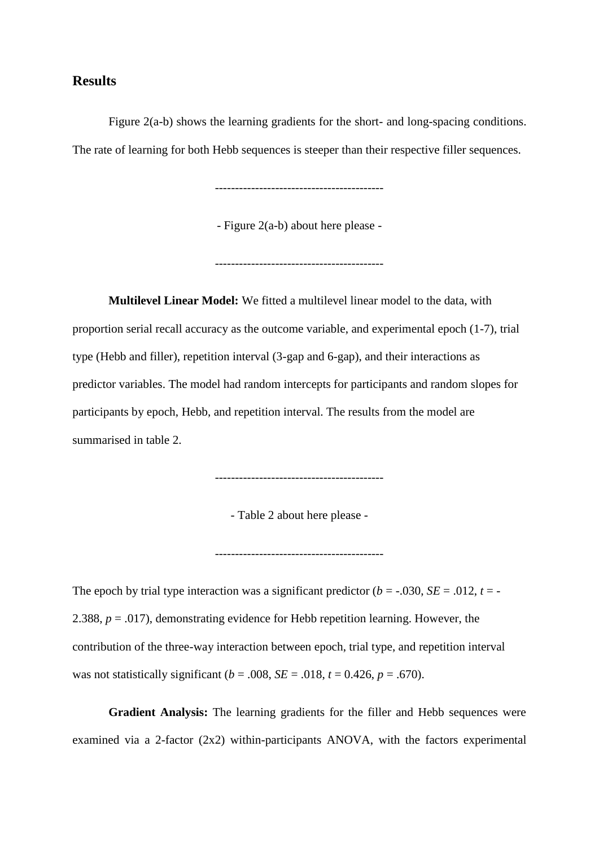## **Results**

Figure 2(a-b) shows the learning gradients for the short- and long-spacing conditions. The rate of learning for both Hebb sequences is steeper than their respective filler sequences.

------------------------------------------

- Figure 2(a-b) about here please -

------------------------------------------

**Multilevel Linear Model:** We fitted a multilevel linear model to the data, with proportion serial recall accuracy as the outcome variable, and experimental epoch (1-7), trial type (Hebb and filler), repetition interval (3-gap and 6-gap), and their interactions as predictor variables. The model had random intercepts for participants and random slopes for participants by epoch, Hebb, and repetition interval. The results from the model are summarised in table 2.

------------------------------------------

- Table 2 about here please -

------------------------------------------

The epoch by trial type interaction was a significant predictor  $(b = -0.030, SE = 0.012, t = -0.012)$ 2.388, *p* = .017), demonstrating evidence for Hebb repetition learning. However, the contribution of the three-way interaction between epoch, trial type, and repetition interval was not statistically significant ( $b = .008$ ,  $SE = .018$ ,  $t = 0.426$ ,  $p = .670$ ).

**Gradient Analysis:** The learning gradients for the filler and Hebb sequences were examined via a 2-factor  $(2x2)$  within-participants ANOVA, with the factors experimental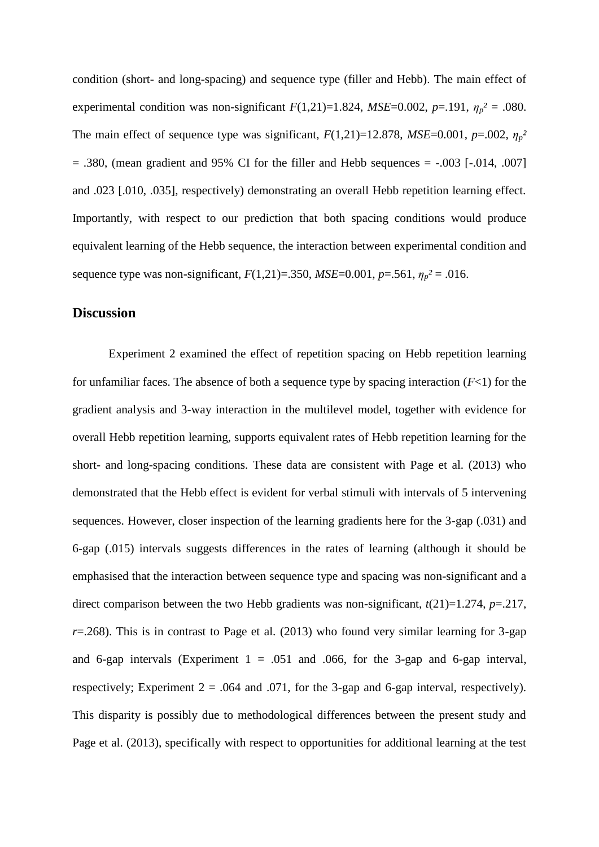condition (short- and long-spacing) and sequence type (filler and Hebb). The main effect of experimental condition was non-significant  $F(1,21)=1.824$ ,  $MSE=0.002$ ,  $p=.191$ ,  $\eta_p^2=.080$ . The main effect of sequence type was significant,  $F(1,21)=12.878$ ,  $MSE=0.001$ ,  $p=.002$ ,  $\eta_p^2$  $= .380$ , (mean gradient and 95% CI for the filler and Hebb sequences  $= -.003$  [ $-.014, .007$ ] and .023 [.010, .035], respectively) demonstrating an overall Hebb repetition learning effect. Importantly, with respect to our prediction that both spacing conditions would produce equivalent learning of the Hebb sequence, the interaction between experimental condition and sequence type was non-significant,  $F(1,21) = .350$ ,  $MSE = 0.001$ ,  $p = .561$ ,  $\eta_p^2 = .016$ .

## **Discussion**

Experiment 2 examined the effect of repetition spacing on Hebb repetition learning for unfamiliar faces. The absence of both a sequence type by spacing interaction  $(F<1)$  for the gradient analysis and 3-way interaction in the multilevel model, together with evidence for overall Hebb repetition learning, supports equivalent rates of Hebb repetition learning for the short- and long-spacing conditions. These data are consistent with Page et al. (2013) who demonstrated that the Hebb effect is evident for verbal stimuli with intervals of 5 intervening sequences. However, closer inspection of the learning gradients here for the 3-gap (.031) and 6-gap (.015) intervals suggests differences in the rates of learning (although it should be emphasised that the interaction between sequence type and spacing was non-significant and a direct comparison between the two Hebb gradients was non-significant,  $t(21)=1.274$ ,  $p=.217$ ,  $r=0.268$ ). This is in contrast to Page et al. (2013) who found very similar learning for 3-gap and 6-gap intervals (Experiment  $1 = .051$  and  $.066$ , for the 3-gap and 6-gap interval, respectively; Experiment  $2 = .064$  and  $.071$ , for the 3-gap and 6-gap interval, respectively). This disparity is possibly due to methodological differences between the present study and Page et al. (2013), specifically with respect to opportunities for additional learning at the test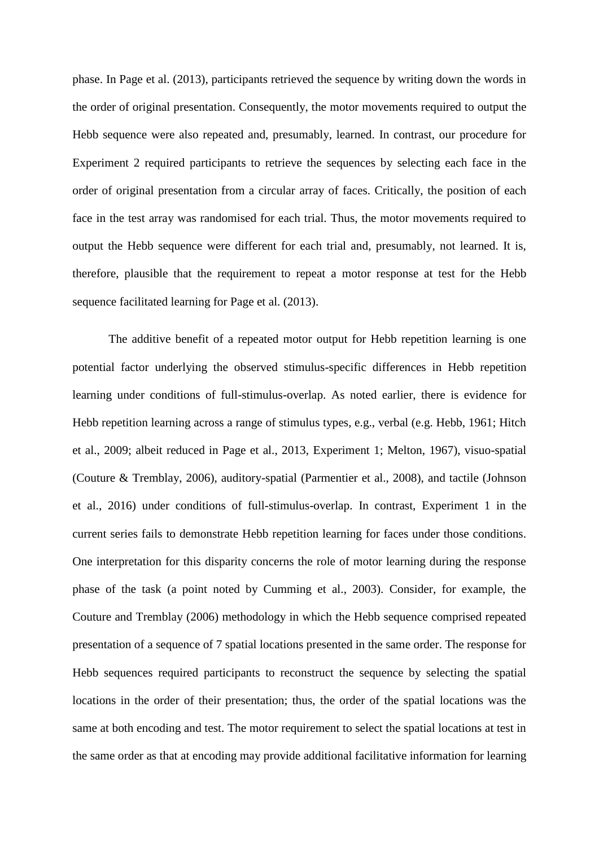phase. In Page et al. (2013), participants retrieved the sequence by writing down the words in the order of original presentation. Consequently, the motor movements required to output the Hebb sequence were also repeated and, presumably, learned. In contrast, our procedure for Experiment 2 required participants to retrieve the sequences by selecting each face in the order of original presentation from a circular array of faces. Critically, the position of each face in the test array was randomised for each trial. Thus, the motor movements required to output the Hebb sequence were different for each trial and, presumably, not learned. It is, therefore, plausible that the requirement to repeat a motor response at test for the Hebb sequence facilitated learning for Page et al. (2013).

The additive benefit of a repeated motor output for Hebb repetition learning is one potential factor underlying the observed stimulus-specific differences in Hebb repetition learning under conditions of full-stimulus-overlap. As noted earlier, there is evidence for Hebb repetition learning across a range of stimulus types, e.g., verbal (e.g. Hebb, 1961; Hitch et al., 2009; albeit reduced in Page et al., 2013, Experiment 1; Melton, 1967), visuo-spatial (Couture & Tremblay, 2006), auditory-spatial (Parmentier et al., 2008), and tactile (Johnson et al., 2016) under conditions of full-stimulus-overlap. In contrast, Experiment 1 in the current series fails to demonstrate Hebb repetition learning for faces under those conditions. One interpretation for this disparity concerns the role of motor learning during the response phase of the task (a point noted by Cumming et al., 2003). Consider, for example, the Couture and Tremblay (2006) methodology in which the Hebb sequence comprised repeated presentation of a sequence of 7 spatial locations presented in the same order. The response for Hebb sequences required participants to reconstruct the sequence by selecting the spatial locations in the order of their presentation; thus, the order of the spatial locations was the same at both encoding and test. The motor requirement to select the spatial locations at test in the same order as that at encoding may provide additional facilitative information for learning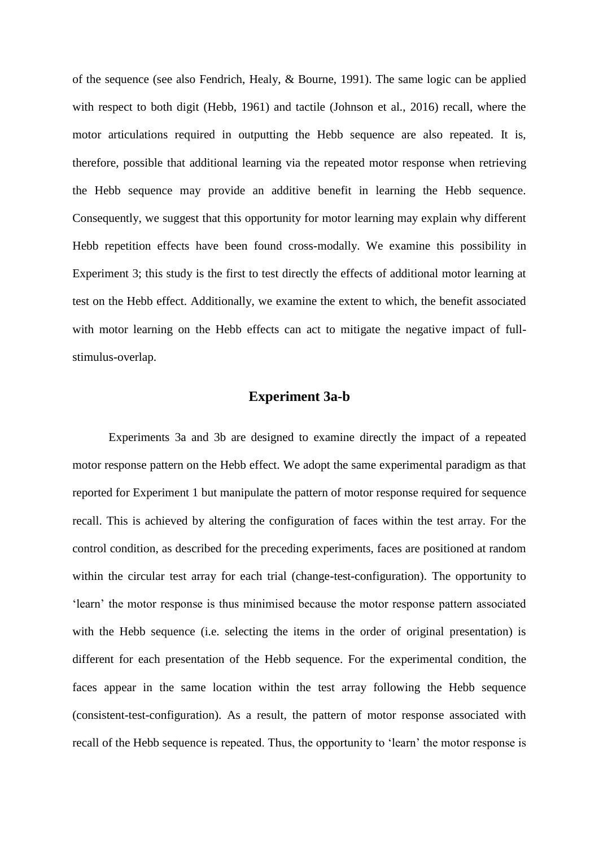of the sequence (see also Fendrich, Healy, & Bourne, 1991). The same logic can be applied with respect to both digit (Hebb, 1961) and tactile (Johnson et al., 2016) recall, where the motor articulations required in outputting the Hebb sequence are also repeated. It is, therefore, possible that additional learning via the repeated motor response when retrieving the Hebb sequence may provide an additive benefit in learning the Hebb sequence. Consequently, we suggest that this opportunity for motor learning may explain why different Hebb repetition effects have been found cross-modally. We examine this possibility in Experiment 3; this study is the first to test directly the effects of additional motor learning at test on the Hebb effect. Additionally, we examine the extent to which, the benefit associated with motor learning on the Hebb effects can act to mitigate the negative impact of fullstimulus-overlap.

## **Experiment 3a-b**

Experiments 3a and 3b are designed to examine directly the impact of a repeated motor response pattern on the Hebb effect. We adopt the same experimental paradigm as that reported for Experiment 1 but manipulate the pattern of motor response required for sequence recall. This is achieved by altering the configuration of faces within the test array. For the control condition, as described for the preceding experiments, faces are positioned at random within the circular test array for each trial (change-test-configuration). The opportunity to 'learn' the motor response is thus minimised because the motor response pattern associated with the Hebb sequence (i.e. selecting the items in the order of original presentation) is different for each presentation of the Hebb sequence. For the experimental condition, the faces appear in the same location within the test array following the Hebb sequence (consistent-test-configuration). As a result, the pattern of motor response associated with recall of the Hebb sequence is repeated. Thus, the opportunity to 'learn' the motor response is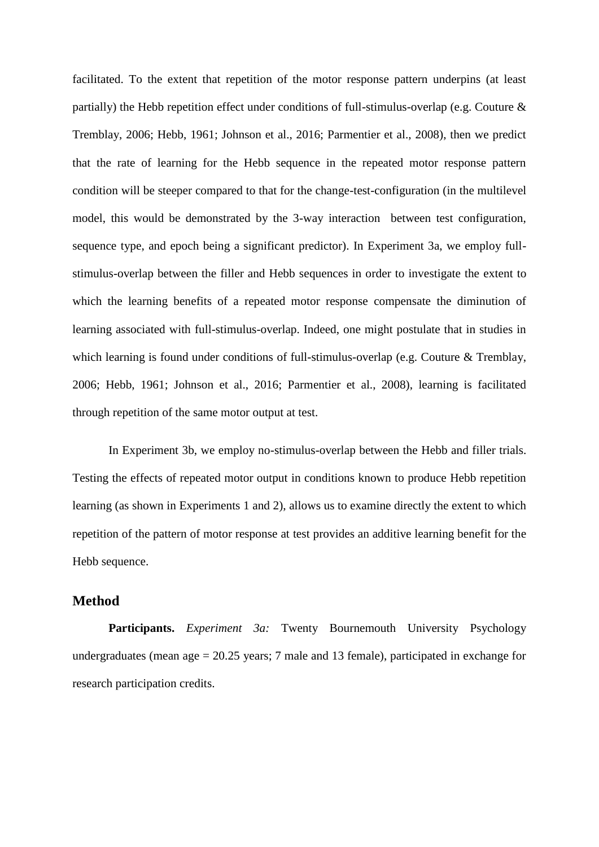facilitated. To the extent that repetition of the motor response pattern underpins (at least partially) the Hebb repetition effect under conditions of full-stimulus-overlap (e.g. Couture  $\&$ Tremblay, 2006; Hebb, 1961; Johnson et al., 2016; Parmentier et al., 2008), then we predict that the rate of learning for the Hebb sequence in the repeated motor response pattern condition will be steeper compared to that for the change-test-configuration (in the multilevel model, this would be demonstrated by the 3-way interaction between test configuration, sequence type, and epoch being a significant predictor). In Experiment 3a, we employ fullstimulus-overlap between the filler and Hebb sequences in order to investigate the extent to which the learning benefits of a repeated motor response compensate the diminution of learning associated with full-stimulus-overlap. Indeed, one might postulate that in studies in which learning is found under conditions of full-stimulus-overlap (e.g. Couture & Tremblay, 2006; Hebb, 1961; Johnson et al., 2016; Parmentier et al., 2008), learning is facilitated through repetition of the same motor output at test.

In Experiment 3b, we employ no-stimulus-overlap between the Hebb and filler trials. Testing the effects of repeated motor output in conditions known to produce Hebb repetition learning (as shown in Experiments 1 and 2), allows us to examine directly the extent to which repetition of the pattern of motor response at test provides an additive learning benefit for the Hebb sequence.

## **Method**

**Participants.** *Experiment 3a:* Twenty Bournemouth University Psychology undergraduates (mean age = 20.25 years; 7 male and 13 female), participated in exchange for research participation credits.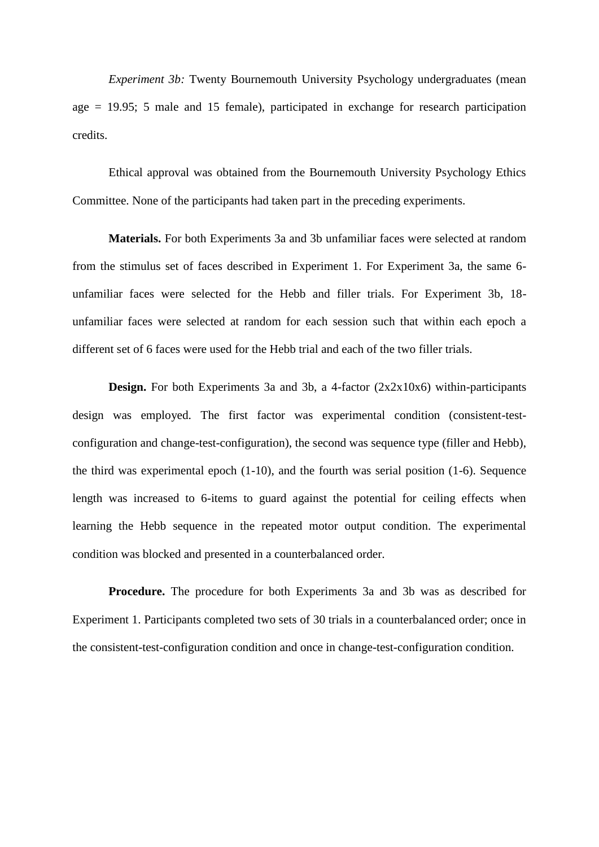*Experiment 3b:* Twenty Bournemouth University Psychology undergraduates (mean age  $= 19.95$ ; 5 male and 15 female), participated in exchange for research participation credits.

Ethical approval was obtained from the Bournemouth University Psychology Ethics Committee. None of the participants had taken part in the preceding experiments.

**Materials.** For both Experiments 3a and 3b unfamiliar faces were selected at random from the stimulus set of faces described in Experiment 1. For Experiment 3a, the same 6 unfamiliar faces were selected for the Hebb and filler trials. For Experiment 3b, 18 unfamiliar faces were selected at random for each session such that within each epoch a different set of 6 faces were used for the Hebb trial and each of the two filler trials.

**Design.** For both Experiments 3a and 3b, a 4-factor (2x2x10x6) within-participants design was employed. The first factor was experimental condition (consistent-testconfiguration and change-test-configuration), the second was sequence type (filler and Hebb), the third was experimental epoch (1-10), and the fourth was serial position (1-6). Sequence length was increased to 6-items to guard against the potential for ceiling effects when learning the Hebb sequence in the repeated motor output condition. The experimental condition was blocked and presented in a counterbalanced order.

**Procedure.** The procedure for both Experiments 3a and 3b was as described for Experiment 1. Participants completed two sets of 30 trials in a counterbalanced order; once in the consistent-test-configuration condition and once in change-test-configuration condition.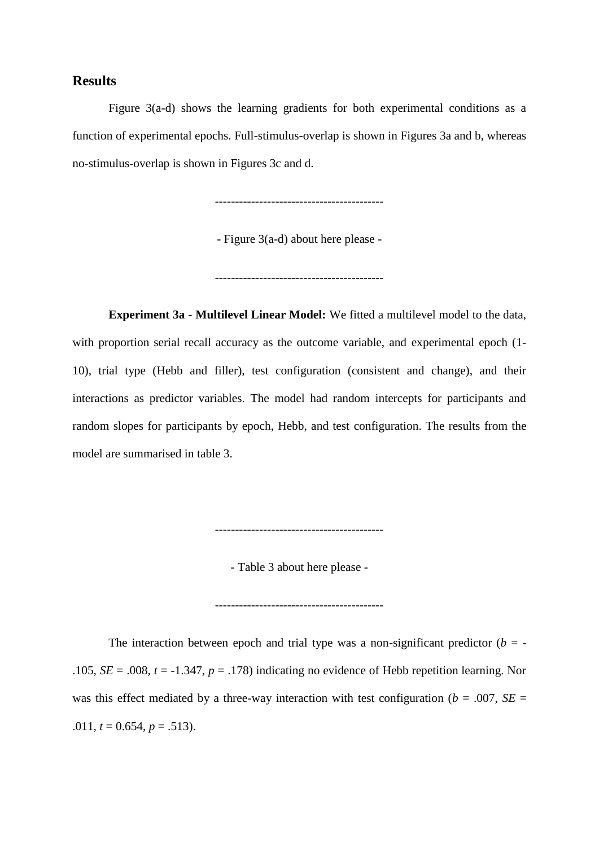# **Results**

Figure 3(a-d) shows the learning gradients for both experimental conditions as a function of experimental epochs. Full-stimulus-overlap is shown in Figures 3a and b, whereas no-stimulus-overlap is shown in Figures 3c and d.

------------------------------------------

- Figure 3(a-d) about here please -

------------------------------------------

**Experiment 3a - Multilevel Linear Model:** We fitted a multilevel model to the data, with proportion serial recall accuracy as the outcome variable, and experimental epoch (1- 10), trial type (Hebb and filler), test configuration (consistent and change), and their interactions as predictor variables. The model had random intercepts for participants and random slopes for participants by epoch, Hebb, and test configuration. The results from the model are summarised in table 3.

------------------------------------------

- Table 3 about here please -

------------------------------------------

The interaction between epoch and trial type was a non-significant predictor  $(b = -1)$ .105,  $SE = .008$ ,  $t = -1.347$ ,  $p = .178$ ) indicating no evidence of Hebb repetition learning. Nor was this effect mediated by a three-way interaction with test configuration ( $b = .007$ , *SE* = .011,  $t = 0.654$ ,  $p = .513$ ).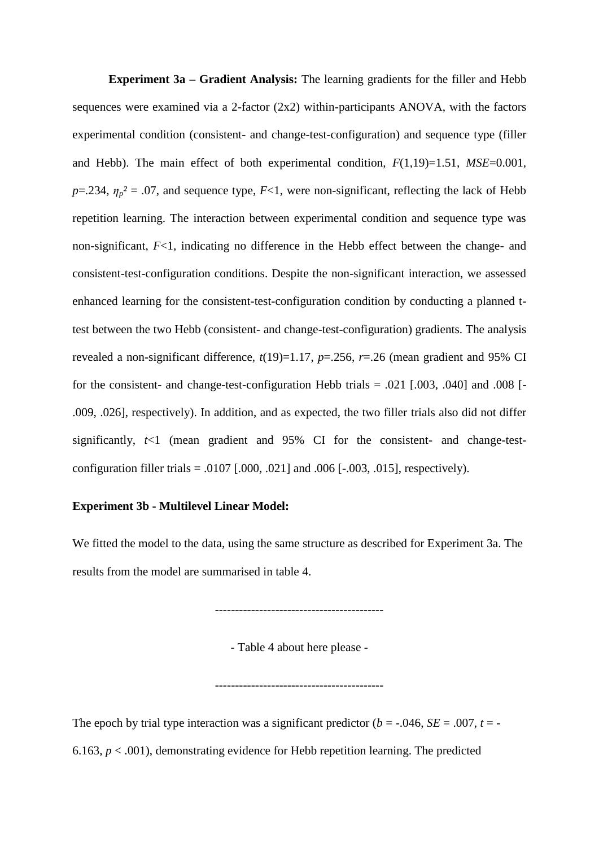**Experiment 3a – Gradient Analysis:** The learning gradients for the filler and Hebb sequences were examined via a 2-factor  $(2x2)$  within-participants ANOVA, with the factors experimental condition (consistent- and change-test-configuration) and sequence type (filler and Hebb). The main effect of both experimental condition, *F*(1,19)=1.51, *MSE*=0.001, *p*=.234,  $\eta_p^2$  = .07, and sequence type, *F*<1, were non-significant, reflecting the lack of Hebb repetition learning. The interaction between experimental condition and sequence type was non-significant, *F*<1, indicating no difference in the Hebb effect between the change- and consistent-test-configuration conditions. Despite the non-significant interaction, we assessed enhanced learning for the consistent-test-configuration condition by conducting a planned ttest between the two Hebb (consistent- and change-test-configuration) gradients. The analysis revealed a non-significant difference,  $t(19)=1.17$ ,  $p=.256$ ,  $r=.26$  (mean gradient and 95% CI for the consistent- and change-test-configuration Hebb trials  $= .021$  [.003, .040] and .008 [-.009, .026], respectively). In addition, and as expected, the two filler trials also did not differ significantly,  $t<1$  (mean gradient and 95% CI for the consistent- and change-testconfiguration filler trials =  $.0107$  [ $.000$ ,  $.021$ ] and  $.006$  [ $-.003$ ,  $.015$ ], respectively).

#### **Experiment 3b - Multilevel Linear Model:**

We fitted the model to the data, using the same structure as described for Experiment 3a. The results from the model are summarised in table 4.

------------------------------------------

- Table 4 about here please -

------------------------------------------

The epoch by trial type interaction was a significant predictor ( $b = -0.046$ ,  $SE = 0.007$ ,  $t = -0.046$ 6.163,  $p < .001$ ), demonstrating evidence for Hebb repetition learning. The predicted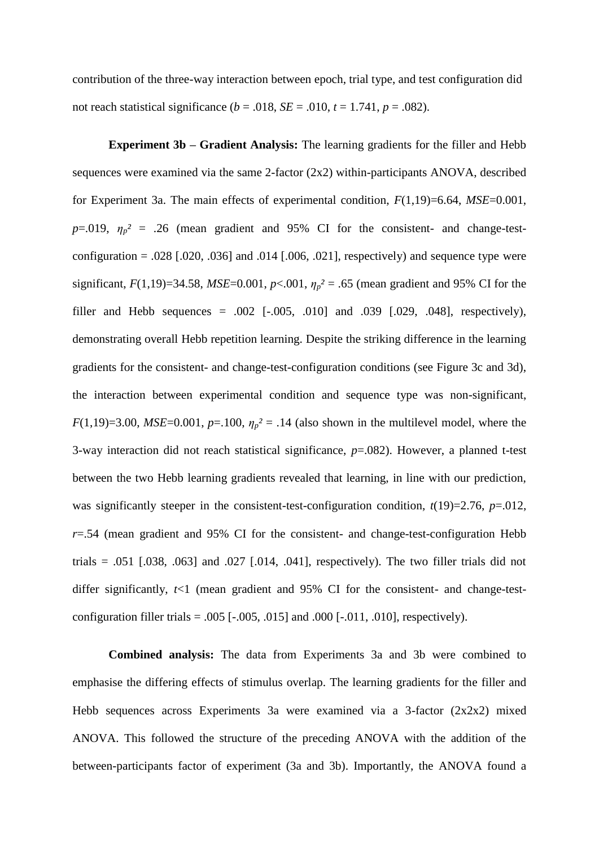contribution of the three-way interaction between epoch, trial type, and test configuration did not reach statistical significance  $(b = .018, SE = .010, t = 1.741, p = .082)$ .

**Experiment 3b – Gradient Analysis:** The learning gradients for the filler and Hebb sequences were examined via the same 2-factor (2x2) within-participants ANOVA, described for Experiment 3a. The main effects of experimental condition, *F*(1,19)=6.64, *MSE*=0.001,  $p=0.019$ ,  $\eta_p^2 = .26$  (mean gradient and 95% CI for the consistent- and change-testconfiguration = .028 [.020, .036] and .014 [.006, .021], respectively) and sequence type were significant,  $F(1,19)=34.58$ ,  $MSE=0.001$ ,  $p<0.001$ ,  $\eta_p^2 = .65$  (mean gradient and 95% CI for the filler and Hebb sequences =  $.002$  [ $-.005$ ,  $.010$ ] and  $.039$  [ $.029$ ,  $.048$ ], respectively), demonstrating overall Hebb repetition learning. Despite the striking difference in the learning gradients for the consistent- and change-test-configuration conditions (see Figure 3c and 3d), the interaction between experimental condition and sequence type was non-significant, *F*(1,19)=3.00, *MSE*=0.001, *p*=.100,  $\eta_p^2$  = .14 (also shown in the multilevel model, where the 3-way interaction did not reach statistical significance, *p*=.082). However, a planned t-test between the two Hebb learning gradients revealed that learning, in line with our prediction, was significantly steeper in the consistent-test-configuration condition,  $t(19)=2.76$ ,  $p=.012$ , *r*=.54 (mean gradient and 95% CI for the consistent- and change-test-configuration Hebb trials =  $.051$   $[.038, .063]$  and  $.027$   $[.014, .041]$ , respectively). The two filler trials did not differ significantly, *t*<1 (mean gradient and 95% CI for the consistent- and change-testconfiguration filler trials =  $.005$  [ $-.005$ ,  $.015$ ] and  $.000$  [ $-.011$ ,  $.010$ ], respectively).

**Combined analysis:** The data from Experiments 3a and 3b were combined to emphasise the differing effects of stimulus overlap. The learning gradients for the filler and Hebb sequences across Experiments 3a were examined via a 3-factor (2x2x2) mixed ANOVA. This followed the structure of the preceding ANOVA with the addition of the between-participants factor of experiment (3a and 3b). Importantly, the ANOVA found a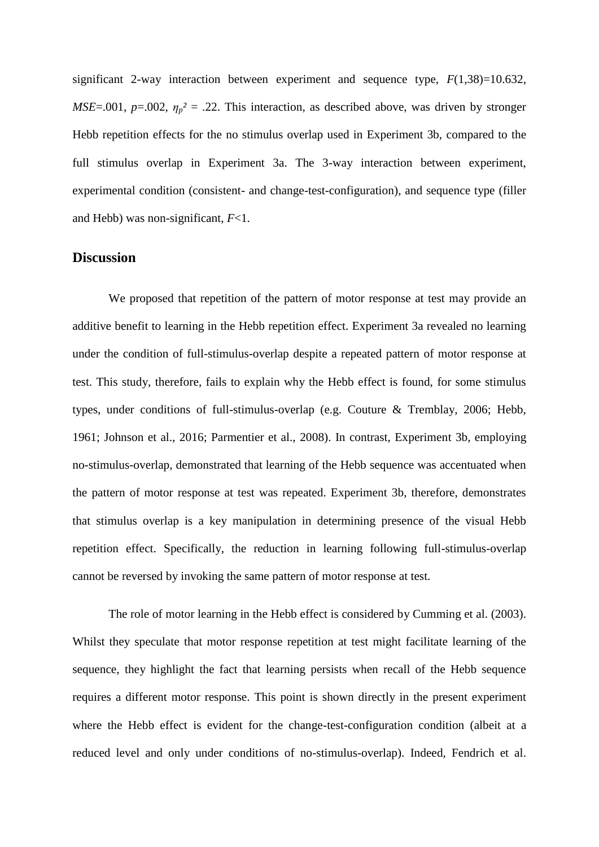significant 2-way interaction between experiment and sequence type,  $F(1,38)=10.632$ , *MSE*=.001,  $p=0.002$ ,  $\eta_p^2 = 0.22$ . This interaction, as described above, was driven by stronger Hebb repetition effects for the no stimulus overlap used in Experiment 3b, compared to the full stimulus overlap in Experiment 3a. The 3-way interaction between experiment, experimental condition (consistent- and change-test-configuration), and sequence type (filler and Hebb) was non-significant, *F*<1.

## **Discussion**

We proposed that repetition of the pattern of motor response at test may provide an additive benefit to learning in the Hebb repetition effect. Experiment 3a revealed no learning under the condition of full-stimulus-overlap despite a repeated pattern of motor response at test. This study, therefore, fails to explain why the Hebb effect is found, for some stimulus types, under conditions of full-stimulus-overlap (e.g. Couture & Tremblay, 2006; Hebb, 1961; Johnson et al., 2016; Parmentier et al., 2008). In contrast, Experiment 3b, employing no-stimulus-overlap, demonstrated that learning of the Hebb sequence was accentuated when the pattern of motor response at test was repeated. Experiment 3b, therefore, demonstrates that stimulus overlap is a key manipulation in determining presence of the visual Hebb repetition effect. Specifically, the reduction in learning following full-stimulus-overlap cannot be reversed by invoking the same pattern of motor response at test.

The role of motor learning in the Hebb effect is considered by Cumming et al. (2003). Whilst they speculate that motor response repetition at test might facilitate learning of the sequence, they highlight the fact that learning persists when recall of the Hebb sequence requires a different motor response. This point is shown directly in the present experiment where the Hebb effect is evident for the change-test-configuration condition (albeit at a reduced level and only under conditions of no-stimulus-overlap). Indeed, Fendrich et al.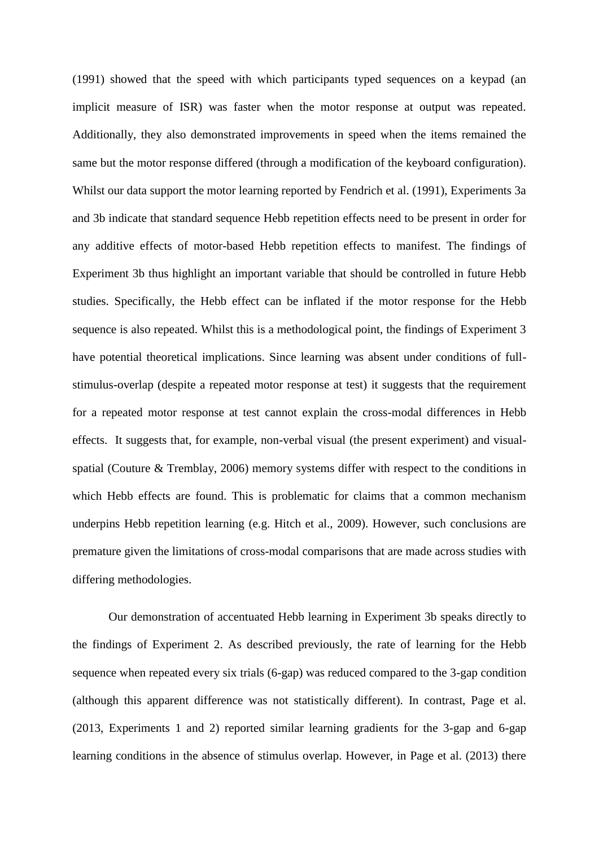(1991) showed that the speed with which participants typed sequences on a keypad (an implicit measure of ISR) was faster when the motor response at output was repeated. Additionally, they also demonstrated improvements in speed when the items remained the same but the motor response differed (through a modification of the keyboard configuration). Whilst our data support the motor learning reported by Fendrich et al. (1991), Experiments 3a and 3b indicate that standard sequence Hebb repetition effects need to be present in order for any additive effects of motor-based Hebb repetition effects to manifest. The findings of Experiment 3b thus highlight an important variable that should be controlled in future Hebb studies. Specifically, the Hebb effect can be inflated if the motor response for the Hebb sequence is also repeated. Whilst this is a methodological point, the findings of Experiment 3 have potential theoretical implications. Since learning was absent under conditions of fullstimulus-overlap (despite a repeated motor response at test) it suggests that the requirement for a repeated motor response at test cannot explain the cross-modal differences in Hebb effects. It suggests that, for example, non-verbal visual (the present experiment) and visualspatial (Couture & Tremblay, 2006) memory systems differ with respect to the conditions in which Hebb effects are found. This is problematic for claims that a common mechanism underpins Hebb repetition learning (e.g. Hitch et al., 2009). However, such conclusions are premature given the limitations of cross-modal comparisons that are made across studies with differing methodologies.

Our demonstration of accentuated Hebb learning in Experiment 3b speaks directly to the findings of Experiment 2. As described previously, the rate of learning for the Hebb sequence when repeated every six trials (6-gap) was reduced compared to the 3-gap condition (although this apparent difference was not statistically different). In contrast, Page et al. (2013, Experiments 1 and 2) reported similar learning gradients for the 3-gap and 6-gap learning conditions in the absence of stimulus overlap. However, in Page et al. (2013) there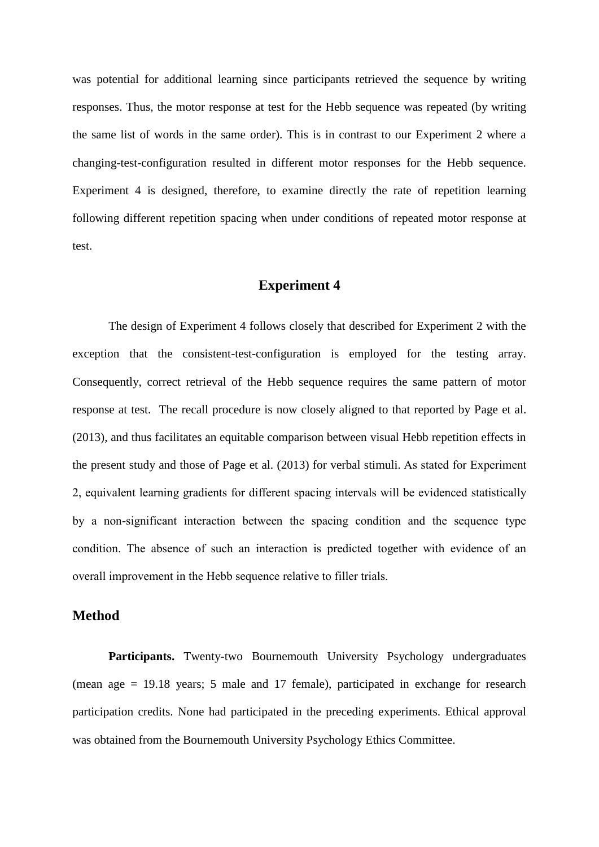was potential for additional learning since participants retrieved the sequence by writing responses. Thus, the motor response at test for the Hebb sequence was repeated (by writing the same list of words in the same order). This is in contrast to our Experiment 2 where a changing-test-configuration resulted in different motor responses for the Hebb sequence. Experiment 4 is designed, therefore, to examine directly the rate of repetition learning following different repetition spacing when under conditions of repeated motor response at test.

## **Experiment 4**

The design of Experiment 4 follows closely that described for Experiment 2 with the exception that the consistent-test-configuration is employed for the testing array. Consequently, correct retrieval of the Hebb sequence requires the same pattern of motor response at test. The recall procedure is now closely aligned to that reported by Page et al. (2013), and thus facilitates an equitable comparison between visual Hebb repetition effects in the present study and those of Page et al. (2013) for verbal stimuli. As stated for Experiment 2, equivalent learning gradients for different spacing intervals will be evidenced statistically by a non-significant interaction between the spacing condition and the sequence type condition. The absence of such an interaction is predicted together with evidence of an overall improvement in the Hebb sequence relative to filler trials.

## **Method**

**Participants.** Twenty-two Bournemouth University Psychology undergraduates (mean age = 19.18 years; 5 male and 17 female), participated in exchange for research participation credits. None had participated in the preceding experiments. Ethical approval was obtained from the Bournemouth University Psychology Ethics Committee.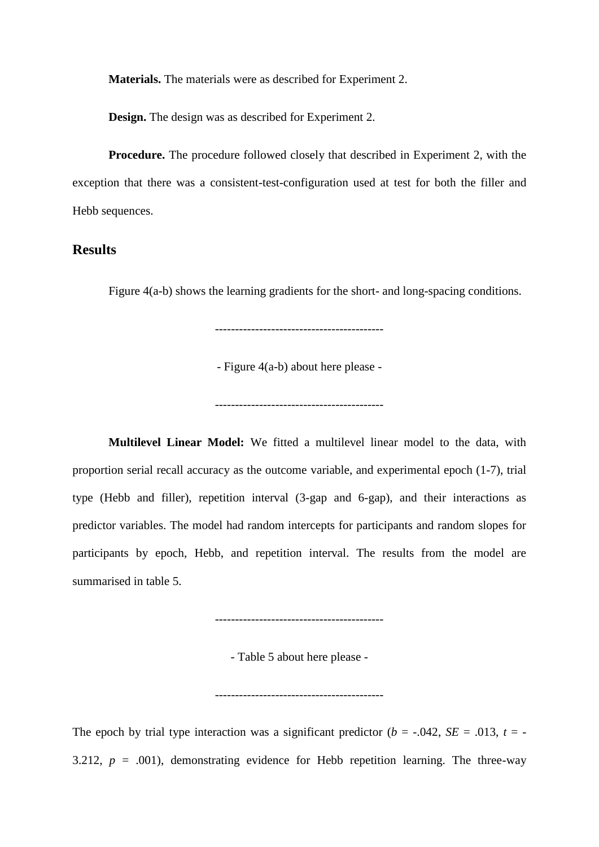**Materials.** The materials were as described for Experiment 2.

**Design.** The design was as described for Experiment 2.

**Procedure.** The procedure followed closely that described in Experiment 2, with the exception that there was a consistent-test-configuration used at test for both the filler and Hebb sequences.

# **Results**

Figure 4(a-b) shows the learning gradients for the short- and long-spacing conditions.

- Figure 4(a-b) about here please -

------------------------------------------

**Multilevel Linear Model:** We fitted a multilevel linear model to the data, with proportion serial recall accuracy as the outcome variable, and experimental epoch (1-7), trial type (Hebb and filler), repetition interval (3-gap and 6-gap), and their interactions as predictor variables. The model had random intercepts for participants and random slopes for participants by epoch, Hebb, and repetition interval. The results from the model are summarised in table 5.

------------------------------------------

- Table 5 about here please -

------------------------------------------

The epoch by trial type interaction was a significant predictor ( $b = -.042$ ,  $SE = .013$ ,  $t = -$ 3.212,  $p = .001$ ), demonstrating evidence for Hebb repetition learning. The three-way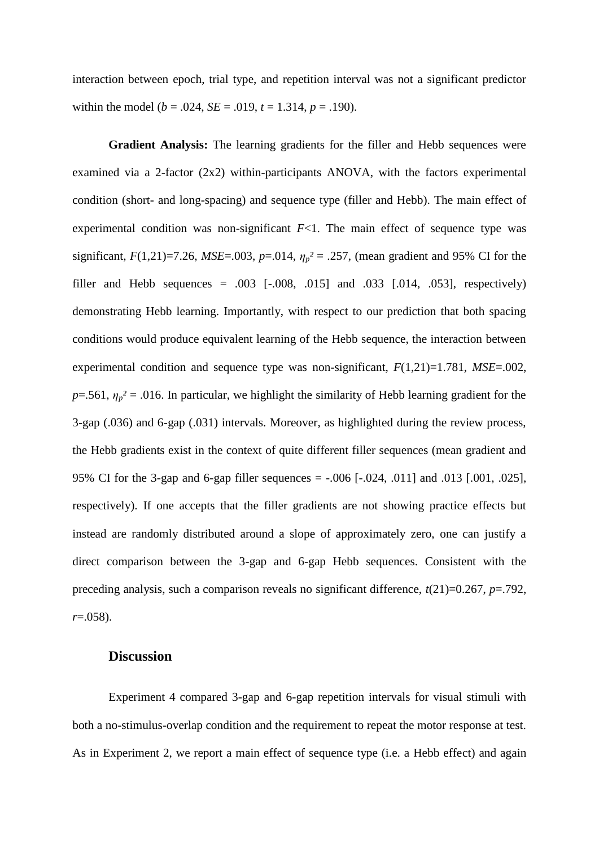interaction between epoch, trial type, and repetition interval was not a significant predictor within the model ( $b = .024$ ,  $SE = .019$ ,  $t = 1.314$ ,  $p = .190$ ).

**Gradient Analysis:** The learning gradients for the filler and Hebb sequences were examined via a 2-factor (2x2) within-participants ANOVA, with the factors experimental condition (short- and long-spacing) and sequence type (filler and Hebb). The main effect of experimental condition was non-significant  $F<1$ . The main effect of sequence type was significant,  $F(1,21)=7.26$ ,  $MSE=.003$ ,  $p=.014$ ,  $\eta_p^2=.257$ , (mean gradient and 95% CI for the filler and Hebb sequences =  $.003$  [ $-.008, .015$ ] and  $.033$  [ $.014, .053$ ], respectively) demonstrating Hebb learning. Importantly, with respect to our prediction that both spacing conditions would produce equivalent learning of the Hebb sequence, the interaction between experimental condition and sequence type was non-significant, *F*(1,21)=1.781, *MSE*=.002,  $p = 0.561$ ,  $\eta_p^2 = 0.016$ . In particular, we highlight the similarity of Hebb learning gradient for the 3-gap (.036) and 6-gap (.031) intervals. Moreover, as highlighted during the review process, the Hebb gradients exist in the context of quite different filler sequences (mean gradient and 95% CI for the 3-gap and 6-gap filler sequences = -.006 [-.024, .011] and .013 [.001, .025], respectively). If one accepts that the filler gradients are not showing practice effects but instead are randomly distributed around a slope of approximately zero, one can justify a direct comparison between the 3-gap and 6-gap Hebb sequences. Consistent with the preceding analysis, such a comparison reveals no significant difference,  $t(21)=0.267$ ,  $p=.792$ , *r*=.058).

## **Discussion**

Experiment 4 compared 3-gap and 6-gap repetition intervals for visual stimuli with both a no-stimulus-overlap condition and the requirement to repeat the motor response at test. As in Experiment 2, we report a main effect of sequence type (i.e. a Hebb effect) and again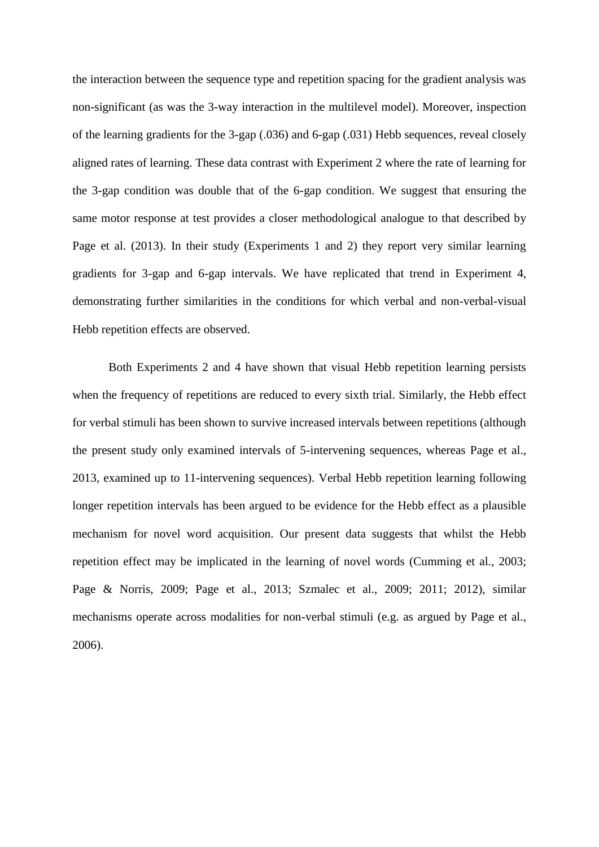the interaction between the sequence type and repetition spacing for the gradient analysis was non-significant (as was the 3-way interaction in the multilevel model). Moreover, inspection of the learning gradients for the 3-gap (.036) and 6-gap (.031) Hebb sequences, reveal closely aligned rates of learning. These data contrast with Experiment 2 where the rate of learning for the 3-gap condition was double that of the 6-gap condition. We suggest that ensuring the same motor response at test provides a closer methodological analogue to that described by Page et al. (2013). In their study (Experiments 1 and 2) they report very similar learning gradients for 3-gap and 6-gap intervals. We have replicated that trend in Experiment 4, demonstrating further similarities in the conditions for which verbal and non-verbal-visual Hebb repetition effects are observed.

Both Experiments 2 and 4 have shown that visual Hebb repetition learning persists when the frequency of repetitions are reduced to every sixth trial. Similarly, the Hebb effect for verbal stimuli has been shown to survive increased intervals between repetitions (although the present study only examined intervals of 5-intervening sequences, whereas Page et al., 2013, examined up to 11-intervening sequences). Verbal Hebb repetition learning following longer repetition intervals has been argued to be evidence for the Hebb effect as a plausible mechanism for novel word acquisition. Our present data suggests that whilst the Hebb repetition effect may be implicated in the learning of novel words (Cumming et al., 2003; Page & Norris, 2009; Page et al., 2013; Szmalec et al., 2009; 2011; 2012), similar mechanisms operate across modalities for non-verbal stimuli (e.g. as argued by Page et al., 2006).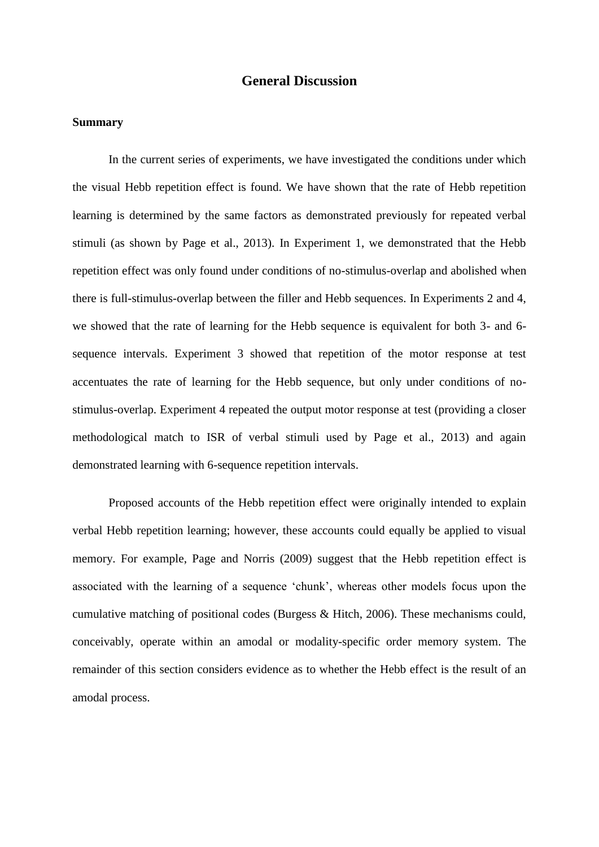## **General Discussion**

#### **Summary**

In the current series of experiments, we have investigated the conditions under which the visual Hebb repetition effect is found. We have shown that the rate of Hebb repetition learning is determined by the same factors as demonstrated previously for repeated verbal stimuli (as shown by Page et al., 2013). In Experiment 1, we demonstrated that the Hebb repetition effect was only found under conditions of no-stimulus-overlap and abolished when there is full-stimulus-overlap between the filler and Hebb sequences. In Experiments 2 and 4, we showed that the rate of learning for the Hebb sequence is equivalent for both 3- and 6 sequence intervals. Experiment 3 showed that repetition of the motor response at test accentuates the rate of learning for the Hebb sequence, but only under conditions of nostimulus-overlap. Experiment 4 repeated the output motor response at test (providing a closer methodological match to ISR of verbal stimuli used by Page et al., 2013) and again demonstrated learning with 6-sequence repetition intervals.

Proposed accounts of the Hebb repetition effect were originally intended to explain verbal Hebb repetition learning; however, these accounts could equally be applied to visual memory. For example, Page and Norris (2009) suggest that the Hebb repetition effect is associated with the learning of a sequence 'chunk', whereas other models focus upon the cumulative matching of positional codes (Burgess & Hitch, 2006). These mechanisms could, conceivably, operate within an amodal or modality-specific order memory system. The remainder of this section considers evidence as to whether the Hebb effect is the result of an amodal process.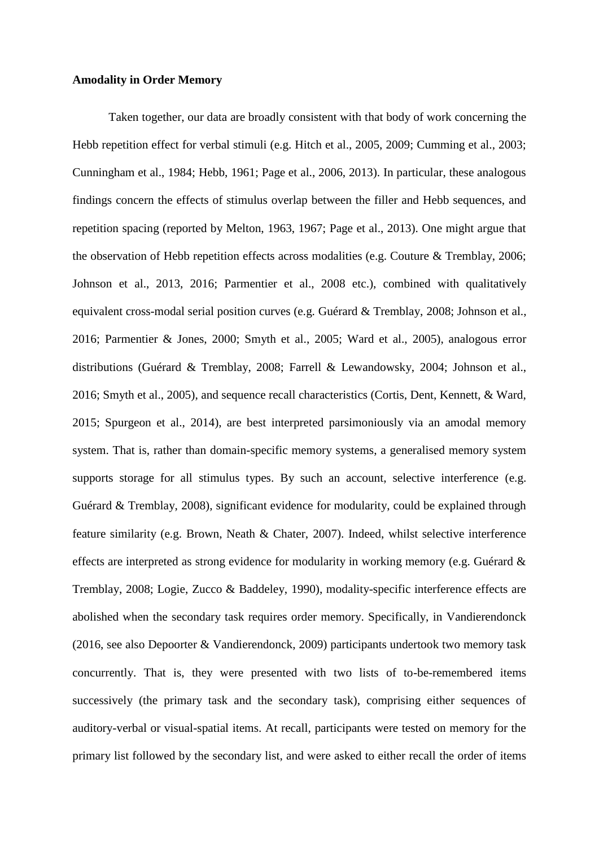#### **Amodality in Order Memory**

Taken together, our data are broadly consistent with that body of work concerning the Hebb repetition effect for verbal stimuli (e.g. Hitch et al., 2005, 2009; Cumming et al., 2003; Cunningham et al., 1984; Hebb, 1961; Page et al., 2006, 2013). In particular, these analogous findings concern the effects of stimulus overlap between the filler and Hebb sequences, and repetition spacing (reported by Melton, 1963, 1967; Page et al., 2013). One might argue that the observation of Hebb repetition effects across modalities (e.g. Couture & Tremblay, 2006; Johnson et al., 2013, 2016; Parmentier et al., 2008 etc.), combined with qualitatively equivalent cross-modal serial position curves (e.g. Guérard & Tremblay, 2008; Johnson et al., 2016; Parmentier & Jones, 2000; Smyth et al., 2005; Ward et al., 2005), analogous error distributions (Guérard & Tremblay, 2008; Farrell & Lewandowsky, 2004; Johnson et al., 2016; Smyth et al., 2005), and sequence recall characteristics (Cortis, Dent, Kennett, & Ward, 2015; Spurgeon et al., 2014), are best interpreted parsimoniously via an amodal memory system. That is, rather than domain-specific memory systems, a generalised memory system supports storage for all stimulus types. By such an account, selective interference (e.g. Guérard & Tremblay, 2008), significant evidence for modularity, could be explained through feature similarity (e.g. Brown, Neath & Chater, 2007). Indeed, whilst selective interference effects are interpreted as strong evidence for modularity in working memory (e.g. Guérard & Tremblay, 2008; Logie, Zucco & Baddeley, 1990), modality-specific interference effects are abolished when the secondary task requires order memory. Specifically, in Vandierendonck (2016, see also Depoorter & Vandierendonck, 2009) participants undertook two memory task concurrently. That is, they were presented with two lists of to-be-remembered items successively (the primary task and the secondary task), comprising either sequences of auditory-verbal or visual-spatial items. At recall, participants were tested on memory for the primary list followed by the secondary list, and were asked to either recall the order of items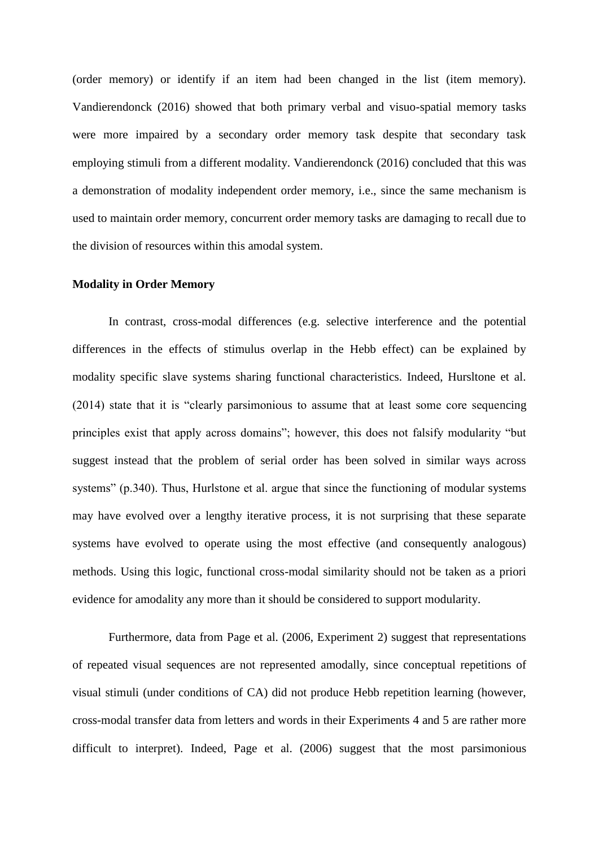(order memory) or identify if an item had been changed in the list (item memory). Vandierendonck (2016) showed that both primary verbal and visuo-spatial memory tasks were more impaired by a secondary order memory task despite that secondary task employing stimuli from a different modality. Vandierendonck (2016) concluded that this was a demonstration of modality independent order memory, i.e., since the same mechanism is used to maintain order memory, concurrent order memory tasks are damaging to recall due to the division of resources within this amodal system.

#### **Modality in Order Memory**

In contrast, cross-modal differences (e.g. selective interference and the potential differences in the effects of stimulus overlap in the Hebb effect) can be explained by modality specific slave systems sharing functional characteristics. Indeed, Hursltone et al. (2014) state that it is "clearly parsimonious to assume that at least some core sequencing principles exist that apply across domains"; however, this does not falsify modularity "but suggest instead that the problem of serial order has been solved in similar ways across systems" (p.340). Thus, Hurlstone et al. argue that since the functioning of modular systems may have evolved over a lengthy iterative process, it is not surprising that these separate systems have evolved to operate using the most effective (and consequently analogous) methods. Using this logic, functional cross-modal similarity should not be taken as a priori evidence for amodality any more than it should be considered to support modularity.

Furthermore, data from Page et al. (2006, Experiment 2) suggest that representations of repeated visual sequences are not represented amodally, since conceptual repetitions of visual stimuli (under conditions of CA) did not produce Hebb repetition learning (however, cross-modal transfer data from letters and words in their Experiments 4 and 5 are rather more difficult to interpret). Indeed, Page et al. (2006) suggest that the most parsimonious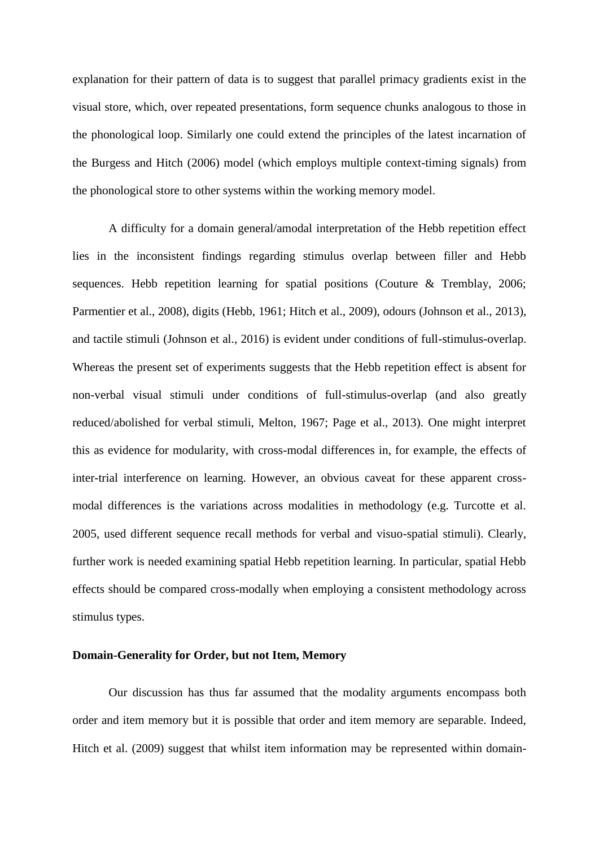explanation for their pattern of data is to suggest that parallel primacy gradients exist in the visual store, which, over repeated presentations, form sequence chunks analogous to those in the phonological loop. Similarly one could extend the principles of the latest incarnation of the Burgess and Hitch (2006) model (which employs multiple context-timing signals) from the phonological store to other systems within the working memory model.

A difficulty for a domain general/amodal interpretation of the Hebb repetition effect lies in the inconsistent findings regarding stimulus overlap between filler and Hebb sequences. Hebb repetition learning for spatial positions (Couture & Tremblay, 2006; Parmentier et al., 2008), digits (Hebb, 1961; Hitch et al., 2009), odours (Johnson et al., 2013), and tactile stimuli (Johnson et al., 2016) is evident under conditions of full-stimulus-overlap. Whereas the present set of experiments suggests that the Hebb repetition effect is absent for non-verbal visual stimuli under conditions of full-stimulus-overlap (and also greatly reduced/abolished for verbal stimuli, Melton, 1967; Page et al., 2013). One might interpret this as evidence for modularity, with cross-modal differences in, for example, the effects of inter-trial interference on learning. However, an obvious caveat for these apparent crossmodal differences is the variations across modalities in methodology (e.g. Turcotte et al. 2005, used different sequence recall methods for verbal and visuo-spatial stimuli). Clearly, further work is needed examining spatial Hebb repetition learning. In particular, spatial Hebb effects should be compared cross-modally when employing a consistent methodology across stimulus types.

#### **Domain-Generality for Order, but not Item, Memory**

Our discussion has thus far assumed that the modality arguments encompass both order and item memory but it is possible that order and item memory are separable. Indeed, Hitch et al. (2009) suggest that whilst item information may be represented within domain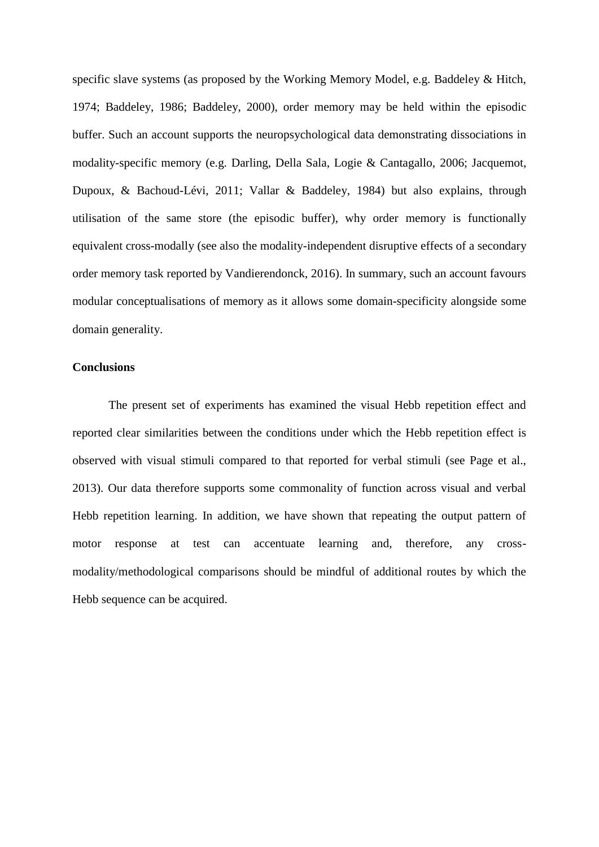specific slave systems (as proposed by the Working Memory Model, e.g. Baddeley & Hitch, 1974; Baddeley, 1986; Baddeley, 2000), order memory may be held within the episodic buffer. Such an account supports the neuropsychological data demonstrating dissociations in modality-specific memory (e.g. Darling, Della Sala, Logie & Cantagallo, 2006; Jacquemot, Dupoux, & Bachoud-Lévi, 2011; Vallar & Baddeley, 1984) but also explains, through utilisation of the same store (the episodic buffer), why order memory is functionally equivalent cross-modally (see also the modality-independent disruptive effects of a secondary order memory task reported by Vandierendonck, 2016). In summary, such an account favours modular conceptualisations of memory as it allows some domain-specificity alongside some domain generality.

#### **Conclusions**

The present set of experiments has examined the visual Hebb repetition effect and reported clear similarities between the conditions under which the Hebb repetition effect is observed with visual stimuli compared to that reported for verbal stimuli (see Page et al., 2013). Our data therefore supports some commonality of function across visual and verbal Hebb repetition learning. In addition, we have shown that repeating the output pattern of motor response at test can accentuate learning and, therefore, any crossmodality/methodological comparisons should be mindful of additional routes by which the Hebb sequence can be acquired.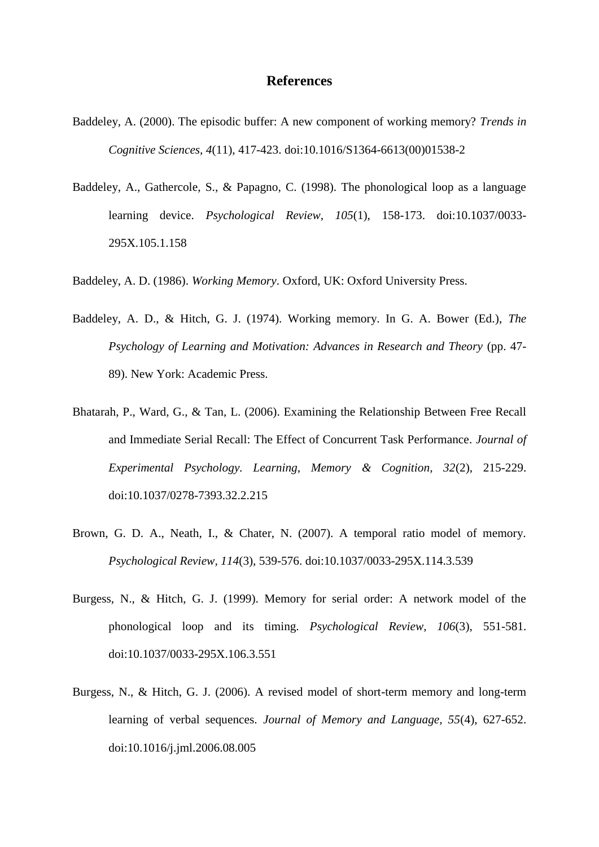#### **References**

- Baddeley, A. (2000). The episodic buffer: A new component of working memory? *Trends in Cognitive Sciences, 4*(11), 417-423. doi:10.1016/S1364-6613(00)01538-2
- Baddeley, A., Gathercole, S., & Papagno, C. (1998). The phonological loop as a language learning device. *Psychological Review, 105*(1), 158-173. doi:10.1037/0033- 295X.105.1.158
- Baddeley, A. D. (1986). *Working Memory*. Oxford, UK: Oxford University Press.
- Baddeley, A. D., & Hitch, G. J. (1974). Working memory. In G. A. Bower (Ed.), *The Psychology of Learning and Motivation: Advances in Research and Theory* (pp. 47- 89). New York: Academic Press.
- Bhatarah, P., Ward, G., & Tan, L. (2006). Examining the Relationship Between Free Recall and Immediate Serial Recall: The Effect of Concurrent Task Performance. *Journal of Experimental Psychology. Learning, Memory & Cognition, 32*(2), 215-229. doi:10.1037/0278-7393.32.2.215
- Brown, G. D. A., Neath, I., & Chater, N. (2007). A temporal ratio model of memory. *Psychological Review, 114*(3), 539-576. doi:10.1037/0033-295X.114.3.539
- Burgess, N., & Hitch, G. J. (1999). Memory for serial order: A network model of the phonological loop and its timing. *Psychological Review, 106*(3), 551-581. doi:10.1037/0033-295X.106.3.551
- Burgess, N., & Hitch, G. J. (2006). A revised model of short-term memory and long-term learning of verbal sequences. *Journal of Memory and Language, 55*(4), 627-652. doi:10.1016/j.jml.2006.08.005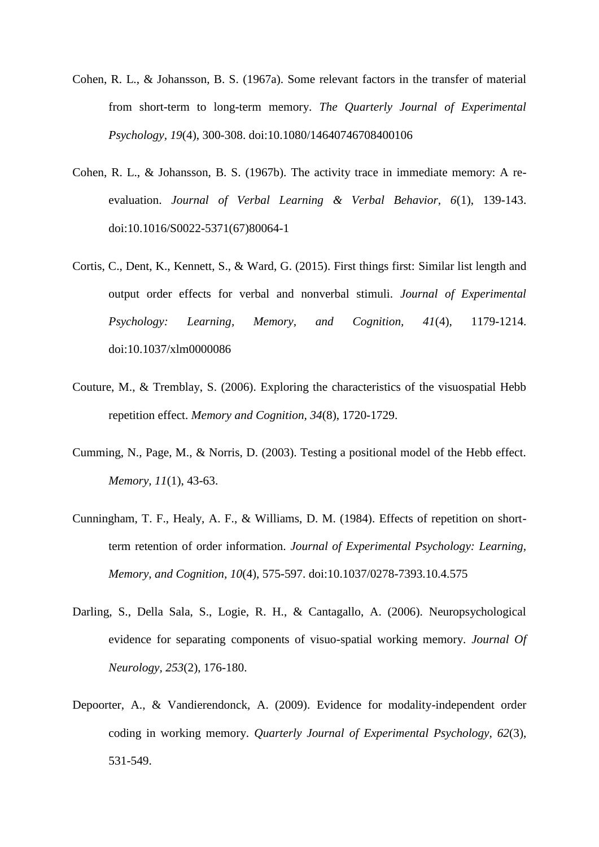- Cohen, R. L., & Johansson, B. S. (1967a). Some relevant factors in the transfer of material from short-term to long-term memory. *The Quarterly Journal of Experimental Psychology, 19*(4), 300-308. doi:10.1080/14640746708400106
- Cohen, R. L., & Johansson, B. S. (1967b). The activity trace in immediate memory: A reevaluation. *Journal of Verbal Learning & Verbal Behavior, 6*(1), 139-143. doi:10.1016/S0022-5371(67)80064-1
- Cortis, C., Dent, K., Kennett, S., & Ward, G. (2015). First things first: Similar list length and output order effects for verbal and nonverbal stimuli. *Journal of Experimental Psychology: Learning, Memory, and Cognition, 41*(4), 1179-1214. doi:10.1037/xlm0000086
- Couture, M., & Tremblay, S. (2006). Exploring the characteristics of the visuospatial Hebb repetition effect. *Memory and Cognition, 34*(8), 1720-1729.
- Cumming, N., Page, M., & Norris, D. (2003). Testing a positional model of the Hebb effect. *Memory, 11*(1), 43-63.
- Cunningham, T. F., Healy, A. F., & Williams, D. M. (1984). Effects of repetition on shortterm retention of order information. *Journal of Experimental Psychology: Learning, Memory, and Cognition, 10*(4), 575-597. doi:10.1037/0278-7393.10.4.575
- Darling, S., Della Sala, S., Logie, R. H., & Cantagallo, A. (2006). Neuropsychological evidence for separating components of visuo-spatial working memory. *Journal Of Neurology, 253*(2), 176-180.
- Depoorter, A., & Vandierendonck, A. (2009). Evidence for modality-independent order coding in working memory. *Quarterly Journal of Experimental Psychology, 62*(3), 531-549.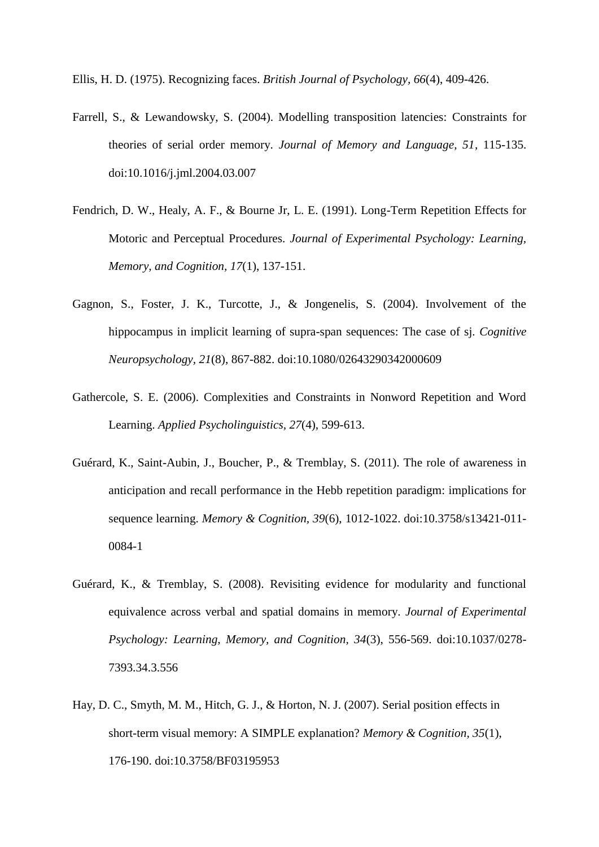Ellis, H. D. (1975). Recognizing faces. *British Journal of Psychology, 66*(4), 409-426.

- Farrell, S., & Lewandowsky, S. (2004). Modelling transposition latencies: Constraints for theories of serial order memory. *Journal of Memory and Language, 51*, 115-135. doi:10.1016/j.jml.2004.03.007
- Fendrich, D. W., Healy, A. F., & Bourne Jr, L. E. (1991). Long-Term Repetition Effects for Motoric and Perceptual Procedures. *Journal of Experimental Psychology: Learning, Memory, and Cognition, 17*(1), 137-151.
- Gagnon, S., Foster, J. K., Turcotte, J., & Jongenelis, S. (2004). Involvement of the hippocampus in implicit learning of supra-span sequences: The case of sj. *Cognitive Neuropsychology, 21*(8), 867-882. doi:10.1080/02643290342000609
- Gathercole, S. E. (2006). Complexities and Constraints in Nonword Repetition and Word Learning. *Applied Psycholinguistics, 27*(4), 599-613.
- Guérard, K., Saint-Aubin, J., Boucher, P., & Tremblay, S. (2011). The role of awareness in anticipation and recall performance in the Hebb repetition paradigm: implications for sequence learning. *Memory & Cognition, 39*(6), 1012-1022. doi:10.3758/s13421-011- 0084-1
- Guérard, K., & Tremblay, S. (2008). Revisiting evidence for modularity and functional equivalence across verbal and spatial domains in memory. *Journal of Experimental Psychology: Learning, Memory, and Cognition, 34*(3), 556-569. doi:10.1037/0278- 7393.34.3.556
- Hay, D. C., Smyth, M. M., Hitch, G. J., & Horton, N. J. (2007). Serial position effects in short-term visual memory: A SIMPLE explanation? *Memory & Cognition, 35*(1), 176-190. doi:10.3758/BF03195953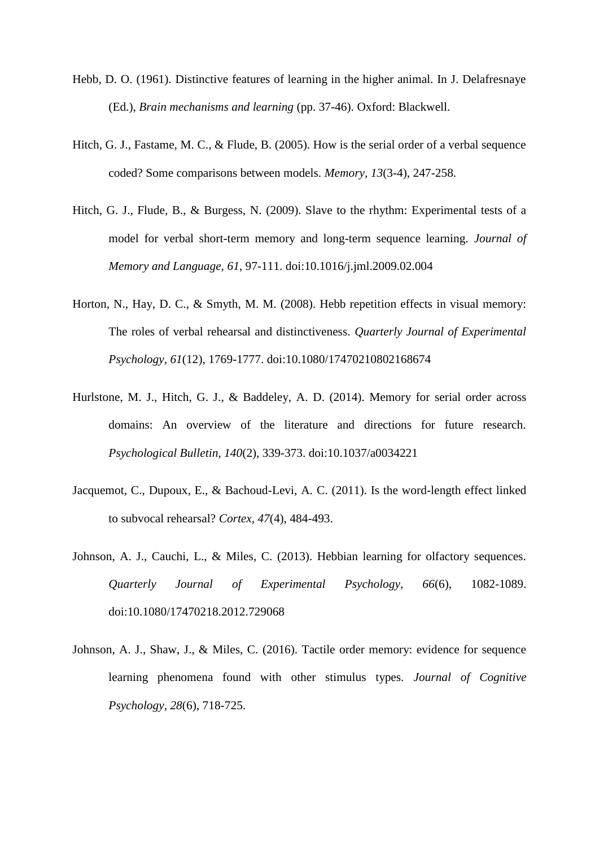- Hebb, D. O. (1961). Distinctive features of learning in the higher animal. In J. Delafresnaye (Ed.), *Brain mechanisms and learning* (pp. 37-46). Oxford: Blackwell.
- Hitch, G. J., Fastame, M. C., & Flude, B. (2005). How is the serial order of a verbal sequence coded? Some comparisons between models. *Memory, 13*(3-4), 247-258.
- Hitch, G. J., Flude, B., & Burgess, N. (2009). Slave to the rhythm: Experimental tests of a model for verbal short-term memory and long-term sequence learning. *Journal of Memory and Language, 61*, 97-111. doi:10.1016/j.jml.2009.02.004
- Horton, N., Hay, D. C., & Smyth, M. M. (2008). Hebb repetition effects in visual memory: The roles of verbal rehearsal and distinctiveness. *Quarterly Journal of Experimental Psychology, 61*(12), 1769-1777. doi:10.1080/17470210802168674
- Hurlstone, M. J., Hitch, G. J., & Baddeley, A. D. (2014). Memory for serial order across domains: An overview of the literature and directions for future research. *Psychological Bulletin, 140*(2), 339-373. doi:10.1037/a0034221
- Jacquemot, C., Dupoux, E., & Bachoud-Levi, A. C. (2011). Is the word-length effect linked to subvocal rehearsal? *Cortex, 47*(4), 484-493.
- Johnson, A. J., Cauchi, L., & Miles, C. (2013). Hebbian learning for olfactory sequences. *Quarterly Journal of Experimental Psychology, 66*(6), 1082-1089. doi:10.1080/17470218.2012.729068
- Johnson, A. J., Shaw, J., & Miles, C. (2016). Tactile order memory: evidence for sequence learning phenomena found with other stimulus types. *Journal of Cognitive Psychology, 28*(6), 718-725.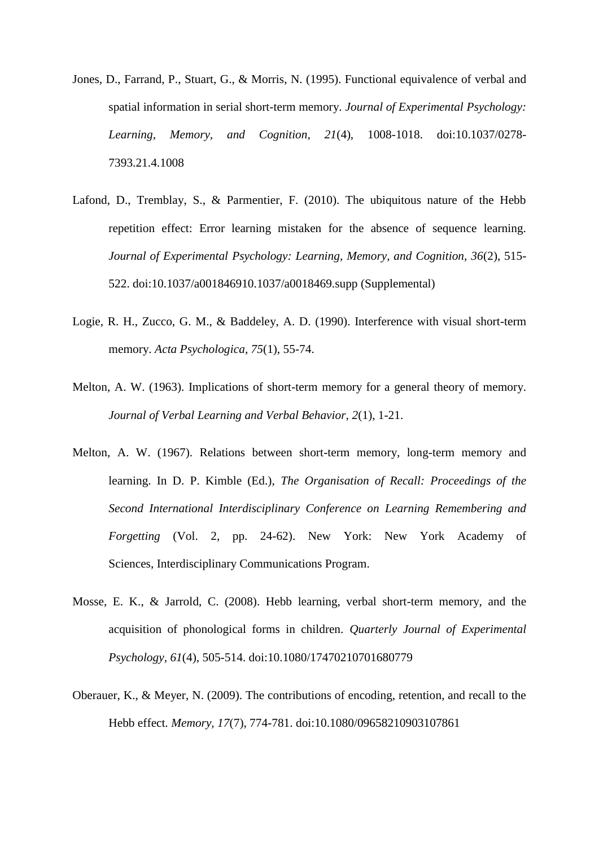- Jones, D., Farrand, P., Stuart, G., & Morris, N. (1995). Functional equivalence of verbal and spatial information in serial short-term memory. *Journal of Experimental Psychology: Learning, Memory, and Cognition, 21*(4), 1008-1018. doi:10.1037/0278- 7393.21.4.1008
- Lafond, D., Tremblay, S., & Parmentier, F. (2010). The ubiquitous nature of the Hebb repetition effect: Error learning mistaken for the absence of sequence learning. *Journal of Experimental Psychology: Learning, Memory, and Cognition, 36*(2), 515- 522. doi:10.1037/a001846910.1037/a0018469.supp (Supplemental)
- Logie, R. H., Zucco, G. M., & Baddeley, A. D. (1990). Interference with visual short-term memory. *Acta Psychologica, 75*(1), 55-74.
- Melton, A. W. (1963). Implications of short-term memory for a general theory of memory. *Journal of Verbal Learning and Verbal Behavior, 2*(1), 1-21.
- Melton, A. W. (1967). Relations between short-term memory, long-term memory and learning. In D. P. Kimble (Ed.), *The Organisation of Recall: Proceedings of the Second International Interdisciplinary Conference on Learning Remembering and Forgetting* (Vol. 2, pp. 24-62). New York: New York Academy of Sciences, Interdisciplinary Communications Program.
- Mosse, E. K., & Jarrold, C. (2008). Hebb learning, verbal short-term memory, and the acquisition of phonological forms in children. *Quarterly Journal of Experimental Psychology, 61*(4), 505-514. doi:10.1080/17470210701680779
- Oberauer, K., & Meyer, N. (2009). The contributions of encoding, retention, and recall to the Hebb effect. *Memory, 17*(7), 774-781. doi:10.1080/09658210903107861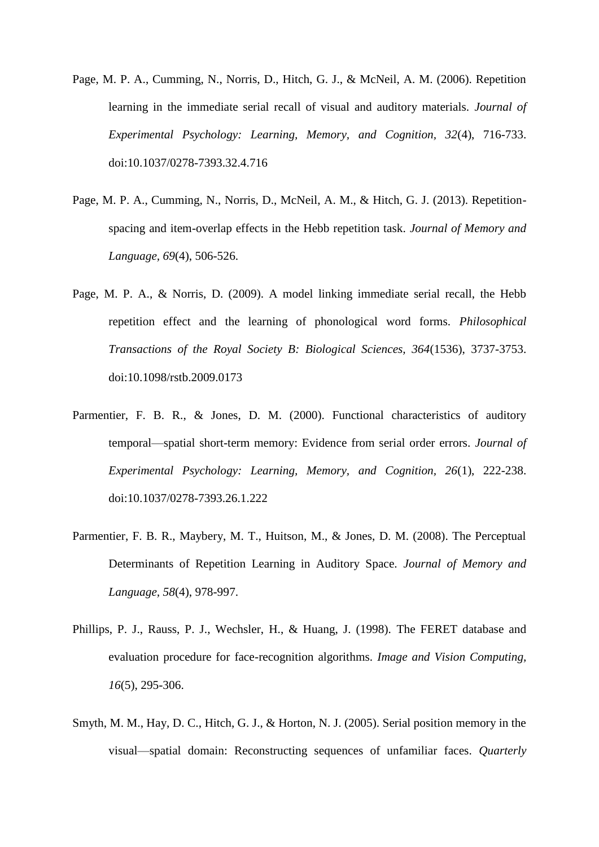- Page, M. P. A., Cumming, N., Norris, D., Hitch, G. J., & McNeil, A. M. (2006). Repetition learning in the immediate serial recall of visual and auditory materials. *Journal of Experimental Psychology: Learning, Memory, and Cognition, 32*(4), 716-733. doi:10.1037/0278-7393.32.4.716
- Page, M. P. A., Cumming, N., Norris, D., McNeil, A. M., & Hitch, G. J. (2013). Repetitionspacing and item-overlap effects in the Hebb repetition task. *Journal of Memory and Language, 69*(4), 506-526.
- Page, M. P. A., & Norris, D. (2009). A model linking immediate serial recall, the Hebb repetition effect and the learning of phonological word forms. *Philosophical Transactions of the Royal Society B: Biological Sciences, 364*(1536), 3737-3753. doi:10.1098/rstb.2009.0173
- Parmentier, F. B. R., & Jones, D. M. (2000). Functional characteristics of auditory temporal—spatial short-term memory: Evidence from serial order errors. *Journal of Experimental Psychology: Learning, Memory, and Cognition, 26*(1), 222-238. doi:10.1037/0278-7393.26.1.222
- Parmentier, F. B. R., Maybery, M. T., Huitson, M., & Jones, D. M. (2008). The Perceptual Determinants of Repetition Learning in Auditory Space. *Journal of Memory and Language, 58*(4), 978-997.
- Phillips, P. J., Rauss, P. J., Wechsler, H., & Huang, J. (1998). The FERET database and evaluation procedure for face-recognition algorithms. *Image and Vision Computing, 16*(5), 295-306.
- Smyth, M. M., Hay, D. C., Hitch, G. J., & Horton, N. J. (2005). Serial position memory in the visual—spatial domain: Reconstructing sequences of unfamiliar faces. *Quarterly*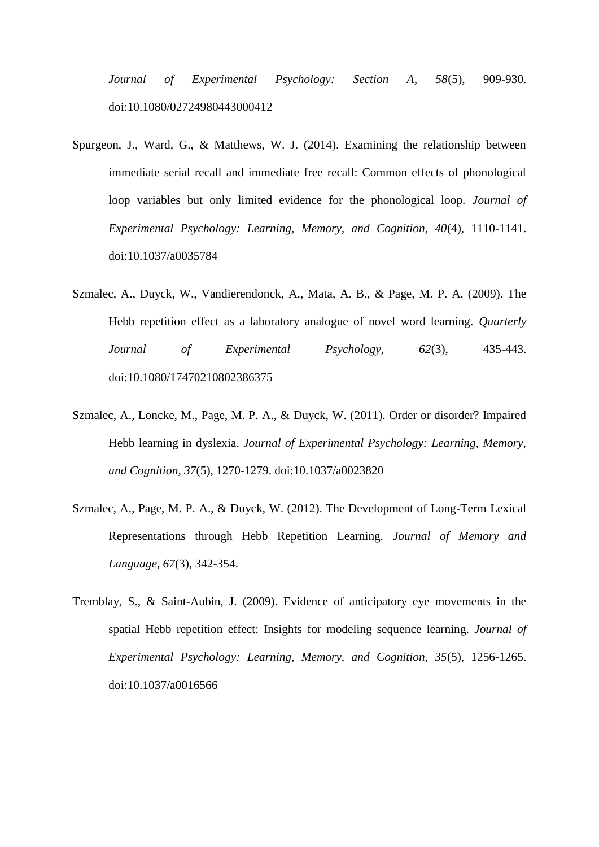*Journal of Experimental Psychology: Section A, 58*(5), 909-930. doi:10.1080/02724980443000412

- Spurgeon, J., Ward, G., & Matthews, W. J. (2014). Examining the relationship between immediate serial recall and immediate free recall: Common effects of phonological loop variables but only limited evidence for the phonological loop. *Journal of Experimental Psychology: Learning, Memory, and Cognition, 40*(4), 1110-1141. doi:10.1037/a0035784
- Szmalec, A., Duyck, W., Vandierendonck, A., Mata, A. B., & Page, M. P. A. (2009). The Hebb repetition effect as a laboratory analogue of novel word learning. *Quarterly Journal of Experimental Psychology, 62*(3), 435-443. doi:10.1080/17470210802386375
- Szmalec, A., Loncke, M., Page, M. P. A., & Duyck, W. (2011). Order or disorder? Impaired Hebb learning in dyslexia. *Journal of Experimental Psychology: Learning, Memory, and Cognition, 37*(5), 1270-1279. doi:10.1037/a0023820
- Szmalec, A., Page, M. P. A., & Duyck, W. (2012). The Development of Long-Term Lexical Representations through Hebb Repetition Learning. *Journal of Memory and Language, 67*(3), 342-354.
- Tremblay, S., & Saint-Aubin, J. (2009). Evidence of anticipatory eye movements in the spatial Hebb repetition effect: Insights for modeling sequence learning. *Journal of Experimental Psychology: Learning, Memory, and Cognition, 35*(5), 1256-1265. doi:10.1037/a0016566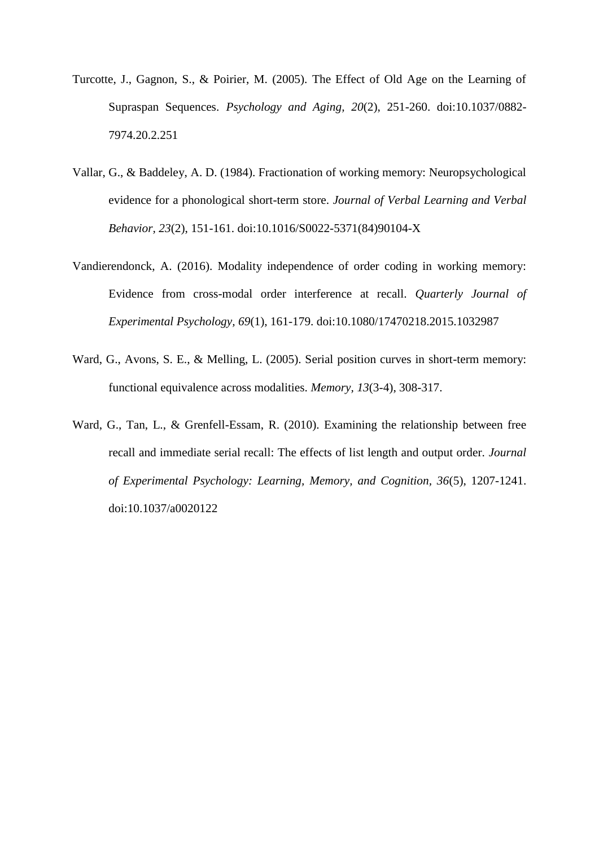- Turcotte, J., Gagnon, S., & Poirier, M. (2005). The Effect of Old Age on the Learning of Supraspan Sequences. *Psychology and Aging, 20*(2), 251-260. doi:10.1037/0882- 7974.20.2.251
- Vallar, G., & Baddeley, A. D. (1984). Fractionation of working memory: Neuropsychological evidence for a phonological short-term store. *Journal of Verbal Learning and Verbal Behavior, 23*(2), 151-161. doi:10.1016/S0022-5371(84)90104-X
- Vandierendonck, A. (2016). Modality independence of order coding in working memory: Evidence from cross-modal order interference at recall. *Quarterly Journal of Experimental Psychology, 69*(1), 161-179. doi:10.1080/17470218.2015.1032987
- Ward, G., Avons, S. E., & Melling, L. (2005). Serial position curves in short-term memory: functional equivalence across modalities. *Memory, 13*(3-4), 308-317.
- Ward, G., Tan, L., & Grenfell-Essam, R. (2010). Examining the relationship between free recall and immediate serial recall: The effects of list length and output order. *Journal of Experimental Psychology: Learning, Memory, and Cognition, 36*(5), 1207-1241. doi:10.1037/a0020122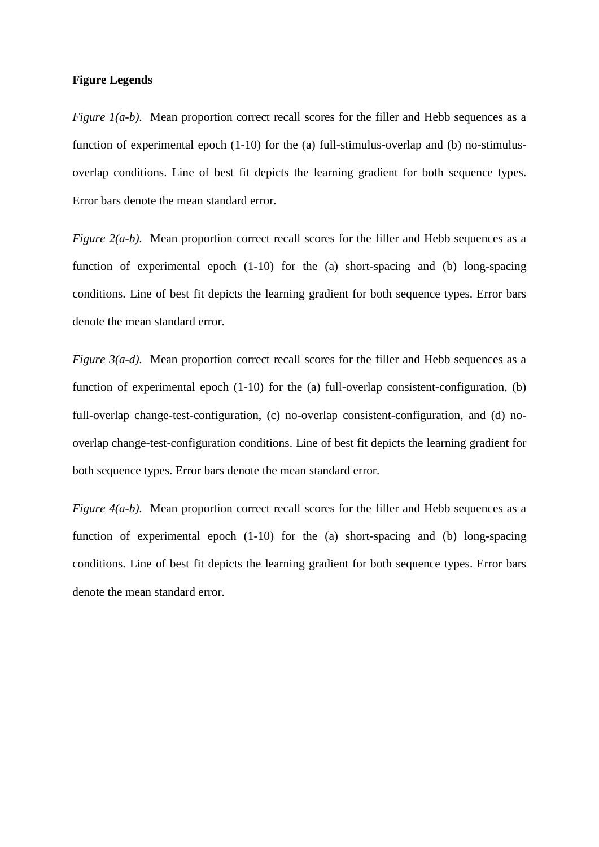#### **Figure Legends**

*Figure 1(a-b).* Mean proportion correct recall scores for the filler and Hebb sequences as a function of experimental epoch (1-10) for the (a) full-stimulus-overlap and (b) no-stimulusoverlap conditions. Line of best fit depicts the learning gradient for both sequence types. Error bars denote the mean standard error.

*Figure 2(a-b).* Mean proportion correct recall scores for the filler and Hebb sequences as a function of experimental epoch (1-10) for the (a) short-spacing and (b) long-spacing conditions. Line of best fit depicts the learning gradient for both sequence types. Error bars denote the mean standard error.

*Figure 3(a-d).* Mean proportion correct recall scores for the filler and Hebb sequences as a function of experimental epoch (1-10) for the (a) full-overlap consistent-configuration, (b) full-overlap change-test-configuration, (c) no-overlap consistent-configuration, and (d) nooverlap change-test-configuration conditions. Line of best fit depicts the learning gradient for both sequence types. Error bars denote the mean standard error.

*Figure 4(a-b).* Mean proportion correct recall scores for the filler and Hebb sequences as a function of experimental epoch (1-10) for the (a) short-spacing and (b) long-spacing conditions. Line of best fit depicts the learning gradient for both sequence types. Error bars denote the mean standard error.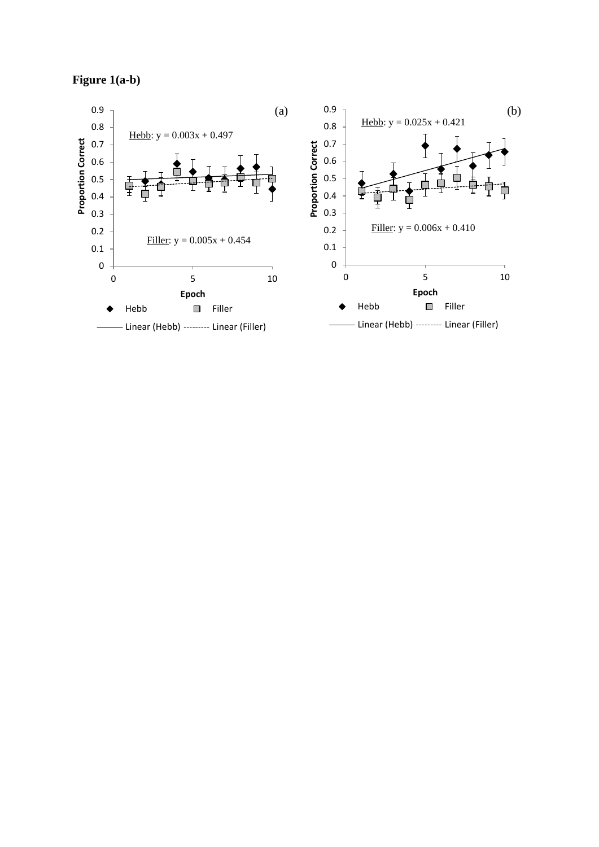# **Figure 1(a-b)**

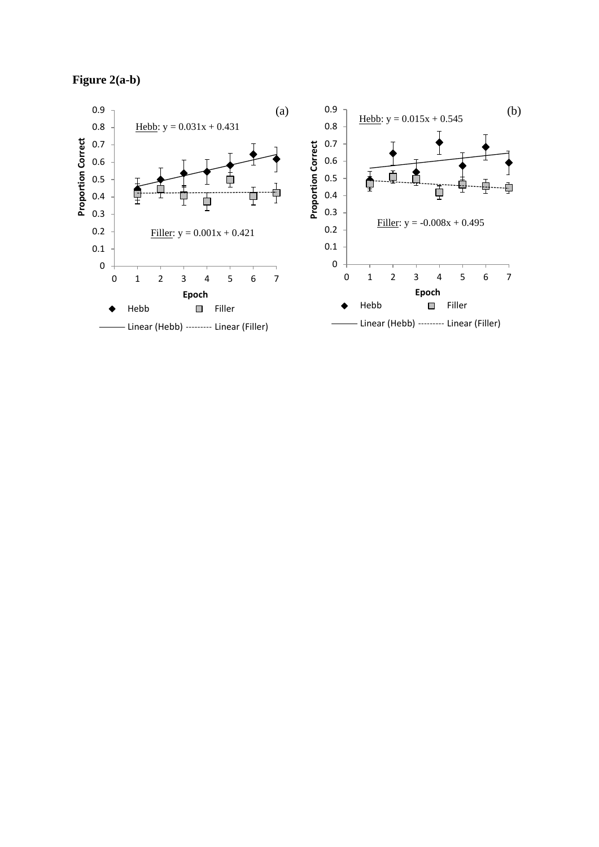# **Figure 2(a-b)**

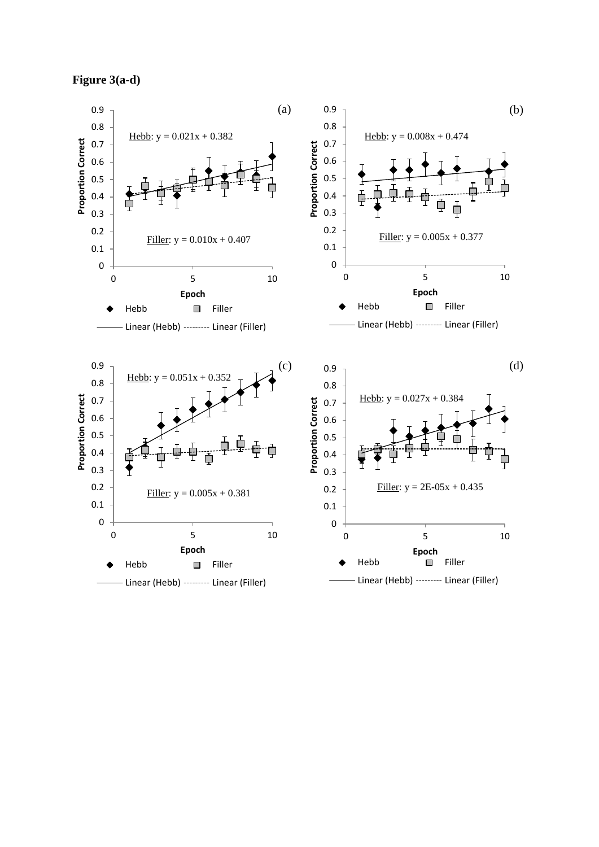

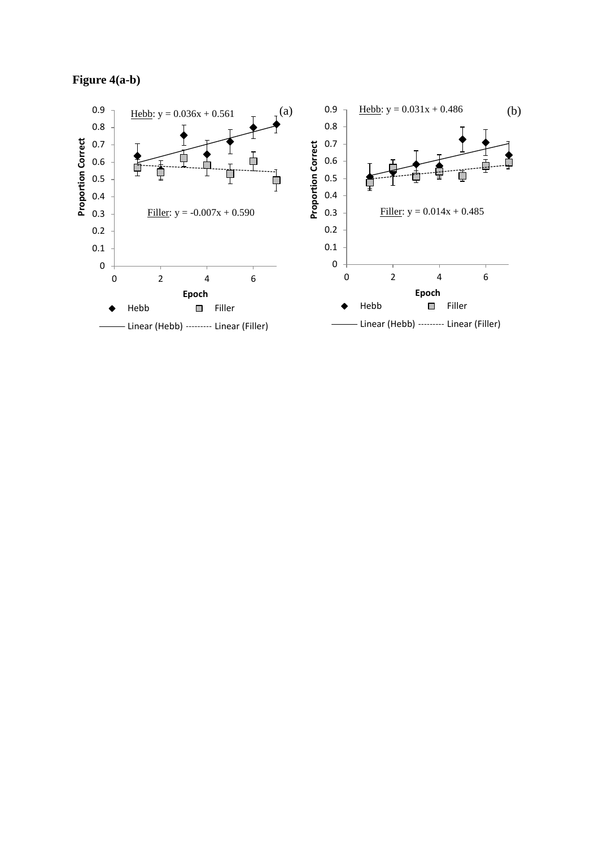# **Figure 4(a-b)**

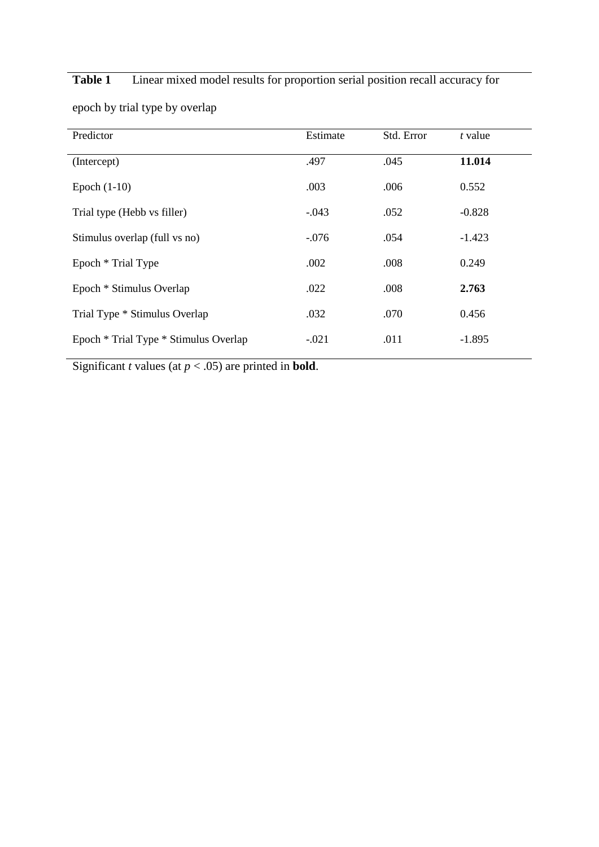| Predictor                             | Estimate | Std. Error | t value  |
|---------------------------------------|----------|------------|----------|
|                                       |          |            |          |
| (Intercept)                           | .497     | .045       | 11.014   |
|                                       |          |            |          |
| Epoch $(1-10)$                        | .003     | .006       | 0.552    |
|                                       |          |            |          |
| Trial type (Hebb vs filler)           | $-.043$  | .052       | $-0.828$ |
|                                       |          |            |          |
| Stimulus overlap (full vs no)         | $-.076$  | .054       | $-1.423$ |
|                                       |          |            |          |
| Epoch * Trial Type                    | .002     | .008       | 0.249    |
| Epoch * Stimulus Overlap              | .022     | .008       | 2.763    |
|                                       |          |            |          |
| Trial Type * Stimulus Overlap         | .032     | .070       | 0.456    |
|                                       |          |            |          |
|                                       | $-.021$  | .011       | $-1.895$ |
| Epoch * Trial Type * Stimulus Overlap |          |            |          |
|                                       |          |            |          |

**Table 1** Linear mixed model results for proportion serial position recall accuracy for

epoch by trial type by overlap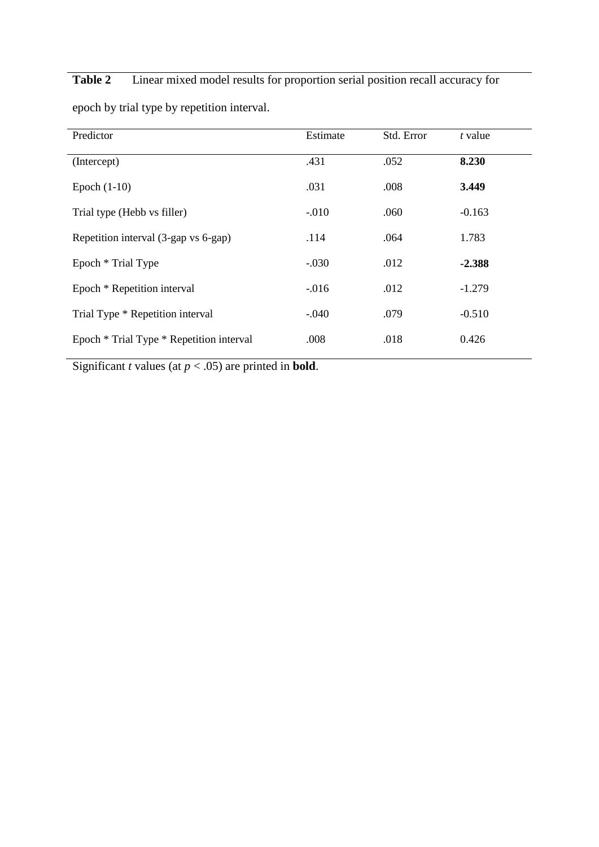**Table 2** Linear mixed model results for proportion serial position recall accuracy for

| Predictor                                | Estimate | Std. Error | t value  |
|------------------------------------------|----------|------------|----------|
| (Intercept)                              | .431     | .052       | 8.230    |
| Epoch $(1-10)$                           | .031     | .008       | 3.449    |
| Trial type (Hebb vs filler)              | $-.010$  | .060       | $-0.163$ |
| Repetition interval (3-gap vs 6-gap)     | .114     | .064       | 1.783    |
| Epoch * Trial Type                       | $-.030$  | .012       | $-2.388$ |
| Epoch * Repetition interval              | $-0.016$ | .012       | $-1.279$ |
| Trial Type * Repetition interval         | $-.040$  | .079       | $-0.510$ |
| Epoch * Trial Type * Repetition interval | .008     | .018       | 0.426    |

epoch by trial type by repetition interval.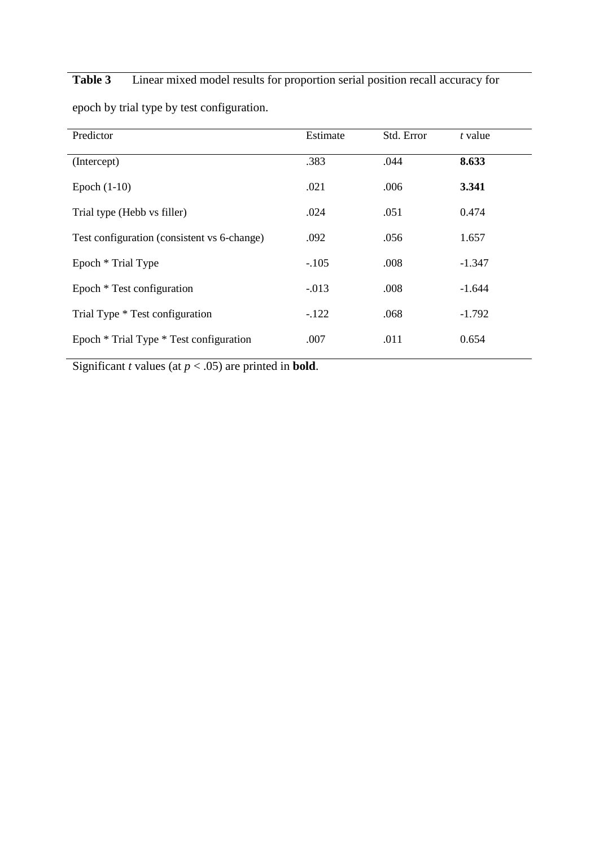# **Table 3** Linear mixed model results for proportion serial position recall accuracy for

| Predictor                                   | Estimate | Std. Error | t value  |
|---------------------------------------------|----------|------------|----------|
| (Intercept)                                 | .383     | .044       | 8.633    |
| Epoch $(1-10)$                              | .021     | .006       | 3.341    |
| Trial type (Hebb vs filler)                 | .024     | .051       | 0.474    |
| Test configuration (consistent vs 6-change) | .092     | .056       | 1.657    |
| Epoch * Trial Type                          | $-.105$  | .008       | $-1.347$ |
| Epoch * Test configuration                  | $-0.013$ | .008       | $-1.644$ |
| Trial Type * Test configuration             | $-122$   | .068       | $-1.792$ |
| Epoch * Trial Type * Test configuration     | .007     | .011       | 0.654    |

epoch by trial type by test configuration.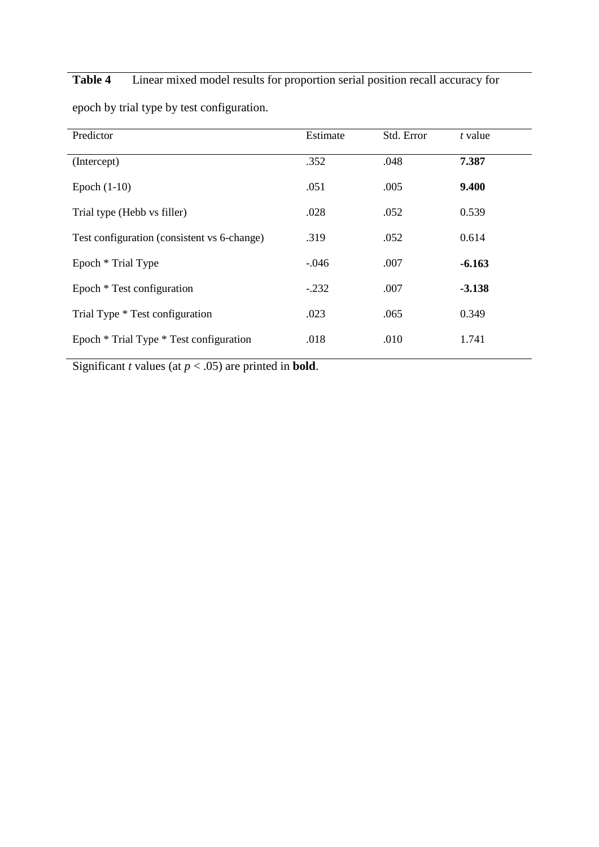# **Table 4** Linear mixed model results for proportion serial position recall accuracy for

| Predictor                                   | Estimate | Std. Error | t value  |
|---------------------------------------------|----------|------------|----------|
| (Intercept)                                 | .352     | .048       | 7.387    |
| Epoch $(1-10)$                              | .051     | .005       | 9.400    |
| Trial type (Hebb vs filler)                 | .028     | .052       | 0.539    |
| Test configuration (consistent vs 6-change) | .319     | .052       | 0.614    |
| Epoch * Trial Type                          | $-.046$  | .007       | $-6.163$ |
| Epoch * Test configuration                  | $-.232$  | .007       | $-3.138$ |
| Trial Type * Test configuration             | .023     | .065       | 0.349    |
| Epoch * Trial Type * Test configuration     | .018     | .010       | 1.741    |

epoch by trial type by test configuration.